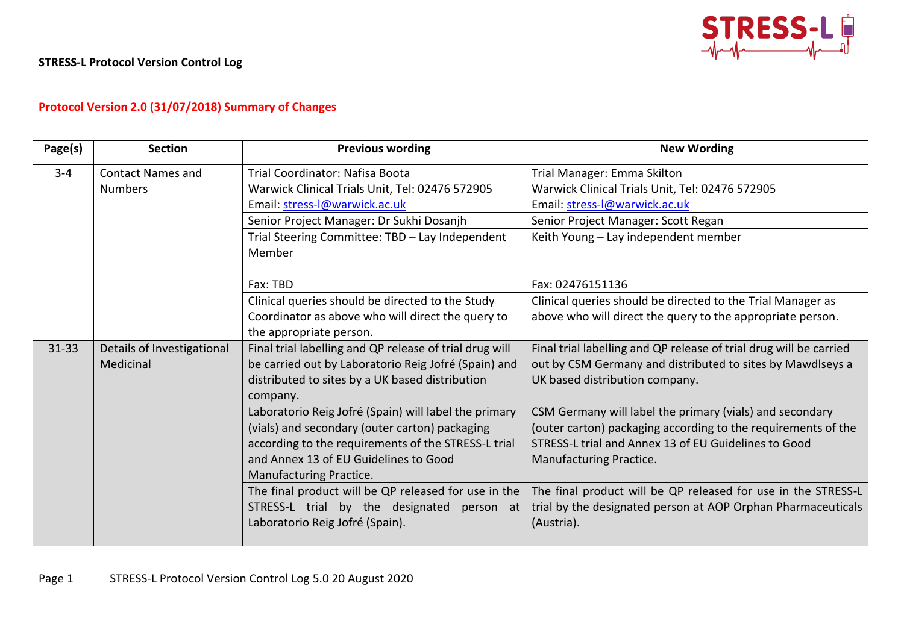

# **Protocol Version 2.0 (31/07/2018) Summary of Changes**

| Page(s)   | <b>Section</b>                             | <b>Previous wording</b>                                                                                                                                                                                                            | <b>New Wording</b>                                                                                                                                                                                           |
|-----------|--------------------------------------------|------------------------------------------------------------------------------------------------------------------------------------------------------------------------------------------------------------------------------------|--------------------------------------------------------------------------------------------------------------------------------------------------------------------------------------------------------------|
| $3 - 4$   | <b>Contact Names and</b><br><b>Numbers</b> | Trial Coordinator: Nafisa Boota<br>Warwick Clinical Trials Unit, Tel: 02476 572905<br>Email: stress-I@warwick.ac.uk                                                                                                                | Trial Manager: Emma Skilton<br>Warwick Clinical Trials Unit, Tel: 02476 572905<br>Email: stress-I@warwick.ac.uk                                                                                              |
|           |                                            | Senior Project Manager: Dr Sukhi Dosanjh<br>Trial Steering Committee: TBD - Lay Independent<br>Member                                                                                                                              | Senior Project Manager: Scott Regan<br>Keith Young - Lay independent member                                                                                                                                  |
|           |                                            | Fax: TBD                                                                                                                                                                                                                           | Fax: 02476151136                                                                                                                                                                                             |
|           |                                            | Clinical queries should be directed to the Study<br>Coordinator as above who will direct the query to<br>the appropriate person.                                                                                                   | Clinical queries should be directed to the Trial Manager as<br>above who will direct the query to the appropriate person.                                                                                    |
| $31 - 33$ | Details of Investigational<br>Medicinal    | Final trial labelling and QP release of trial drug will<br>be carried out by Laboratorio Reig Jofré (Spain) and<br>distributed to sites by a UK based distribution<br>company.                                                     | Final trial labelling and QP release of trial drug will be carried<br>out by CSM Germany and distributed to sites by Mawdlseys a<br>UK based distribution company.                                           |
|           |                                            | Laboratorio Reig Jofré (Spain) will label the primary<br>(vials) and secondary (outer carton) packaging<br>according to the requirements of the STRESS-L trial<br>and Annex 13 of EU Guidelines to Good<br>Manufacturing Practice. | CSM Germany will label the primary (vials) and secondary<br>(outer carton) packaging according to the requirements of the<br>STRESS-L trial and Annex 13 of EU Guidelines to Good<br>Manufacturing Practice. |
|           |                                            | The final product will be QP released for use in the<br>STRESS-L trial by the designated<br>person at<br>Laboratorio Reig Jofré (Spain).                                                                                           | The final product will be QP released for use in the STRESS-L<br>trial by the designated person at AOP Orphan Pharmaceuticals<br>(Austria).                                                                  |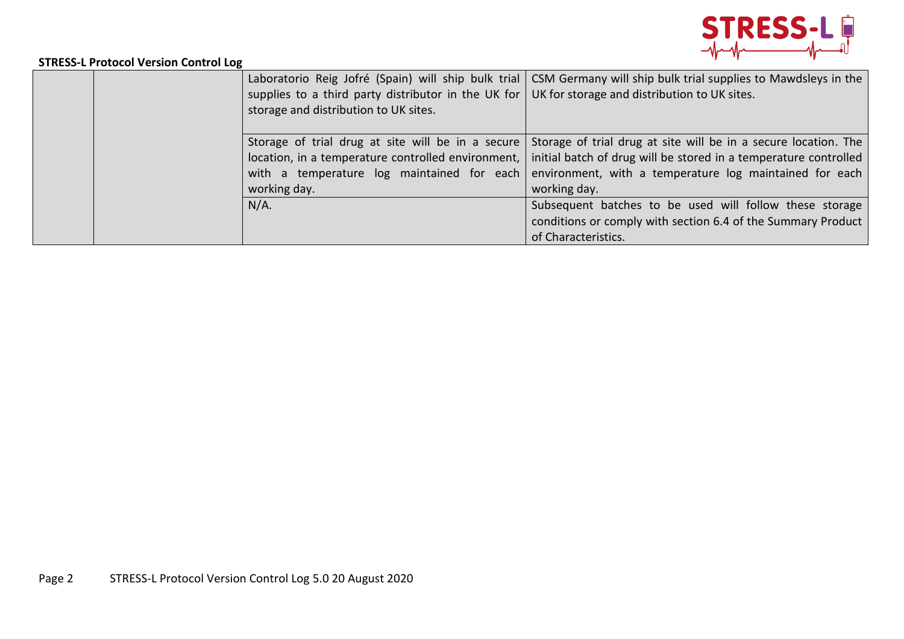

| storage and distribution to UK sites. | CSM Germany will ship bulk trial supplies to Mawdsleys in the<br>Laboratorio Reig Jofré (Spain) will ship bulk trial<br>supplies to a third party distributor in the UK for<br>UK for storage and distribution to UK sites. |
|---------------------------------------|-----------------------------------------------------------------------------------------------------------------------------------------------------------------------------------------------------------------------------|
|                                       | Storage of trial drug at site will be in a secure location. The<br>Storage of trial drug at site will be in a secure                                                                                                        |
|                                       | initial batch of drug will be stored in a temperature controlled<br>location, in a temperature controlled environment,                                                                                                      |
|                                       | environment, with a temperature log maintained for each<br>with a temperature log maintained for each                                                                                                                       |
| working day.                          | working day.                                                                                                                                                                                                                |
| $N/A$ .                               | Subsequent batches to be used will follow these storage                                                                                                                                                                     |
|                                       | conditions or comply with section 6.4 of the Summary Product                                                                                                                                                                |
|                                       | of Characteristics.                                                                                                                                                                                                         |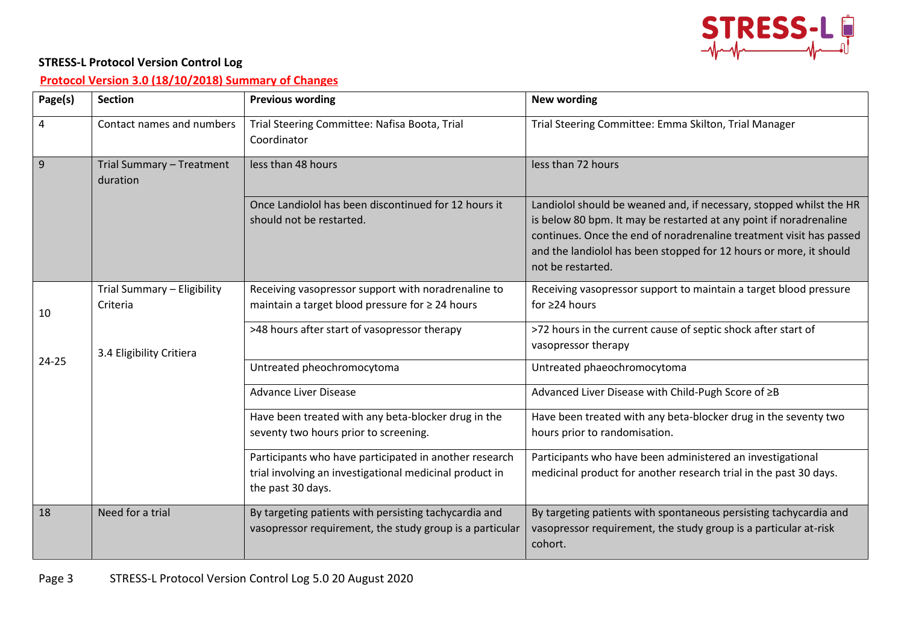

# **Protocol Version 3.0 (18/10/2018) Summary of Changes**

| Page(s)   | <b>Section</b>                          | <b>Previous wording</b>                                                                                                                | <b>New wording</b>                                                                                                                                                                                                                                                                                          |
|-----------|-----------------------------------------|----------------------------------------------------------------------------------------------------------------------------------------|-------------------------------------------------------------------------------------------------------------------------------------------------------------------------------------------------------------------------------------------------------------------------------------------------------------|
| 4         | Contact names and numbers               | Trial Steering Committee: Nafisa Boota, Trial<br>Coordinator                                                                           | Trial Steering Committee: Emma Skilton, Trial Manager                                                                                                                                                                                                                                                       |
| 9         | Trial Summary - Treatment<br>duration   | less than 48 hours                                                                                                                     | less than 72 hours                                                                                                                                                                                                                                                                                          |
|           |                                         | Once Landiolol has been discontinued for 12 hours it<br>should not be restarted.                                                       | Landiolol should be weaned and, if necessary, stopped whilst the HR<br>is below 80 bpm. It may be restarted at any point if noradrenaline<br>continues. Once the end of noradrenaline treatment visit has passed<br>and the landiolol has been stopped for 12 hours or more, it should<br>not be restarted. |
| 10        | Trial Summary - Eligibility<br>Criteria | Receiving vasopressor support with noradrenaline to<br>maintain a target blood pressure for ≥ 24 hours                                 | Receiving vasopressor support to maintain a target blood pressure<br>for $\geq$ 24 hours                                                                                                                                                                                                                    |
|           | 3.4 Eligibility Critiera                | >48 hours after start of vasopressor therapy                                                                                           | >72 hours in the current cause of septic shock after start of<br>vasopressor therapy                                                                                                                                                                                                                        |
| $24 - 25$ |                                         | Untreated pheochromocytoma                                                                                                             | Untreated phaeochromocytoma                                                                                                                                                                                                                                                                                 |
|           |                                         | <b>Advance Liver Disease</b>                                                                                                           | Advanced Liver Disease with Child-Pugh Score of ≥B                                                                                                                                                                                                                                                          |
|           |                                         | Have been treated with any beta-blocker drug in the<br>seventy two hours prior to screening.                                           | Have been treated with any beta-blocker drug in the seventy two<br>hours prior to randomisation.                                                                                                                                                                                                            |
|           |                                         | Participants who have participated in another research<br>trial involving an investigational medicinal product in<br>the past 30 days. | Participants who have been administered an investigational<br>medicinal product for another research trial in the past 30 days.                                                                                                                                                                             |
| 18        | Need for a trial                        | By targeting patients with persisting tachycardia and<br>vasopressor requirement, the study group is a particular                      | By targeting patients with spontaneous persisting tachycardia and<br>vasopressor requirement, the study group is a particular at-risk<br>cohort.                                                                                                                                                            |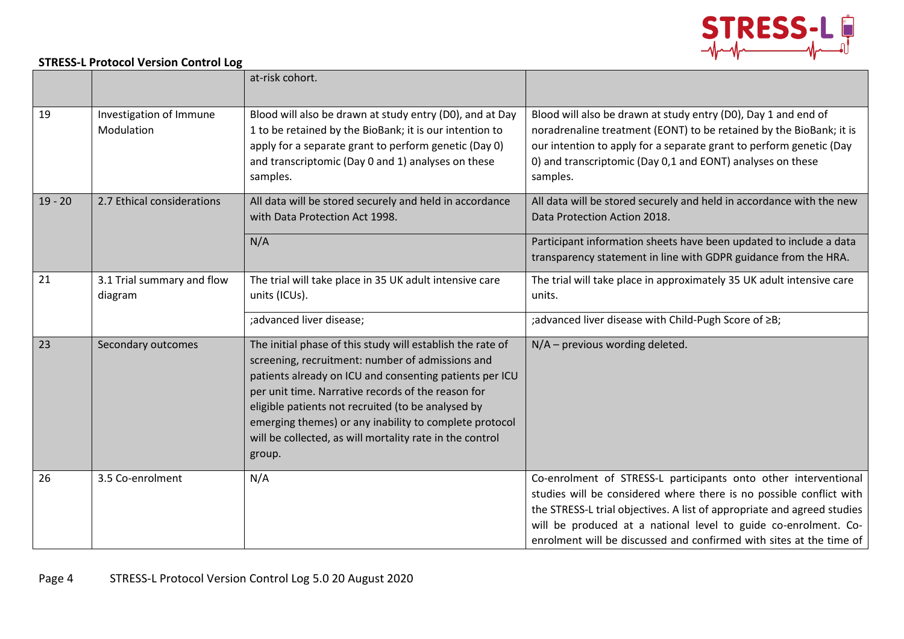

|           |                                       | at-risk cohort.                                                                                                                                                                                                                                                                                                                                                                                                       |                                                                                                                                                                                                                                                                                                                                                             |
|-----------|---------------------------------------|-----------------------------------------------------------------------------------------------------------------------------------------------------------------------------------------------------------------------------------------------------------------------------------------------------------------------------------------------------------------------------------------------------------------------|-------------------------------------------------------------------------------------------------------------------------------------------------------------------------------------------------------------------------------------------------------------------------------------------------------------------------------------------------------------|
| 19        | Investigation of Immune<br>Modulation | Blood will also be drawn at study entry (D0), and at Day<br>1 to be retained by the BioBank; it is our intention to<br>apply for a separate grant to perform genetic (Day 0)<br>and transcriptomic (Day 0 and 1) analyses on these<br>samples.                                                                                                                                                                        | Blood will also be drawn at study entry (D0), Day 1 and end of<br>noradrenaline treatment (EONT) to be retained by the BioBank; it is<br>our intention to apply for a separate grant to perform genetic (Day<br>0) and transcriptomic (Day 0,1 and EONT) analyses on these<br>samples.                                                                      |
| $19 - 20$ | 2.7 Ethical considerations            | All data will be stored securely and held in accordance<br>with Data Protection Act 1998.<br>N/A                                                                                                                                                                                                                                                                                                                      | All data will be stored securely and held in accordance with the new<br>Data Protection Action 2018.<br>Participant information sheets have been updated to include a data                                                                                                                                                                                  |
|           |                                       |                                                                                                                                                                                                                                                                                                                                                                                                                       | transparency statement in line with GDPR guidance from the HRA.                                                                                                                                                                                                                                                                                             |
| 21        | 3.1 Trial summary and flow<br>diagram | The trial will take place in 35 UK adult intensive care<br>units (ICUs).                                                                                                                                                                                                                                                                                                                                              | The trial will take place in approximately 35 UK adult intensive care<br>units.                                                                                                                                                                                                                                                                             |
|           |                                       | ;advanced liver disease;                                                                                                                                                                                                                                                                                                                                                                                              | ;advanced liver disease with Child-Pugh Score of ≥B;                                                                                                                                                                                                                                                                                                        |
| 23        | Secondary outcomes                    | The initial phase of this study will establish the rate of<br>screening, recruitment: number of admissions and<br>patients already on ICU and consenting patients per ICU<br>per unit time. Narrative records of the reason for<br>eligible patients not recruited (to be analysed by<br>emerging themes) or any inability to complete protocol<br>will be collected, as will mortality rate in the control<br>group. | N/A - previous wording deleted.                                                                                                                                                                                                                                                                                                                             |
| 26        | 3.5 Co-enrolment                      | N/A                                                                                                                                                                                                                                                                                                                                                                                                                   | Co-enrolment of STRESS-L participants onto other interventional<br>studies will be considered where there is no possible conflict with<br>the STRESS-L trial objectives. A list of appropriate and agreed studies<br>will be produced at a national level to guide co-enrolment. Co-<br>enrolment will be discussed and confirmed with sites at the time of |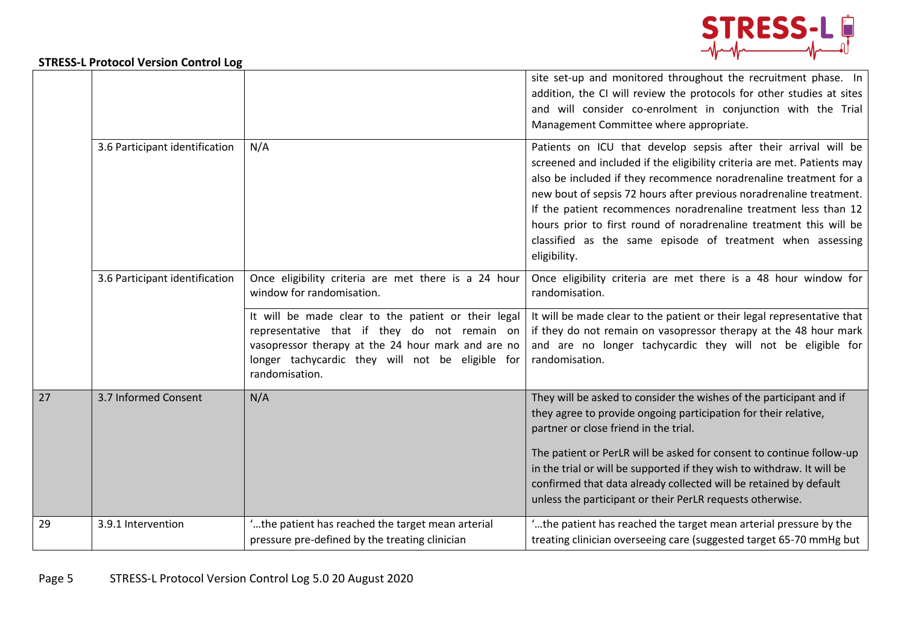

|    |                                |                                                                                                                                                                                                                                 | site set-up and monitored throughout the recruitment phase. In<br>addition, the CI will review the protocols for other studies at sites<br>and will consider co-enrolment in conjunction with the Trial<br>Management Committee where appropriate.                                                                                                                                                                                                                                                            |
|----|--------------------------------|---------------------------------------------------------------------------------------------------------------------------------------------------------------------------------------------------------------------------------|---------------------------------------------------------------------------------------------------------------------------------------------------------------------------------------------------------------------------------------------------------------------------------------------------------------------------------------------------------------------------------------------------------------------------------------------------------------------------------------------------------------|
|    | 3.6 Participant identification | N/A                                                                                                                                                                                                                             | Patients on ICU that develop sepsis after their arrival will be<br>screened and included if the eligibility criteria are met. Patients may<br>also be included if they recommence noradrenaline treatment for a<br>new bout of sepsis 72 hours after previous noradrenaline treatment.<br>If the patient recommences noradrenaline treatment less than 12<br>hours prior to first round of noradrenaline treatment this will be<br>classified as the same episode of treatment when assessing<br>eligibility. |
|    | 3.6 Participant identification | Once eligibility criteria are met there is a 24 hour<br>window for randomisation.                                                                                                                                               | Once eligibility criteria are met there is a 48 hour window for<br>randomisation.                                                                                                                                                                                                                                                                                                                                                                                                                             |
|    |                                | It will be made clear to the patient or their legal<br>representative that if they do not remain on<br>vasopressor therapy at the 24 hour mark and are no<br>longer tachycardic they will not be eligible for<br>randomisation. | It will be made clear to the patient or their legal representative that<br>if they do not remain on vasopressor therapy at the 48 hour mark<br>and are no longer tachycardic they will not be eligible for<br>randomisation.                                                                                                                                                                                                                                                                                  |
| 27 | 3.7 Informed Consent           | N/A                                                                                                                                                                                                                             | They will be asked to consider the wishes of the participant and if<br>they agree to provide ongoing participation for their relative,<br>partner or close friend in the trial.<br>The patient or PerLR will be asked for consent to continue follow-up<br>in the trial or will be supported if they wish to withdraw. It will be                                                                                                                                                                             |
|    |                                |                                                                                                                                                                                                                                 | confirmed that data already collected will be retained by default<br>unless the participant or their PerLR requests otherwise.                                                                                                                                                                                                                                                                                                                                                                                |
| 29 | 3.9.1 Intervention             | "the patient has reached the target mean arterial<br>pressure pre-defined by the treating clinician                                                                                                                             | " the patient has reached the target mean arterial pressure by the<br>treating clinician overseeing care (suggested target 65-70 mmHg but                                                                                                                                                                                                                                                                                                                                                                     |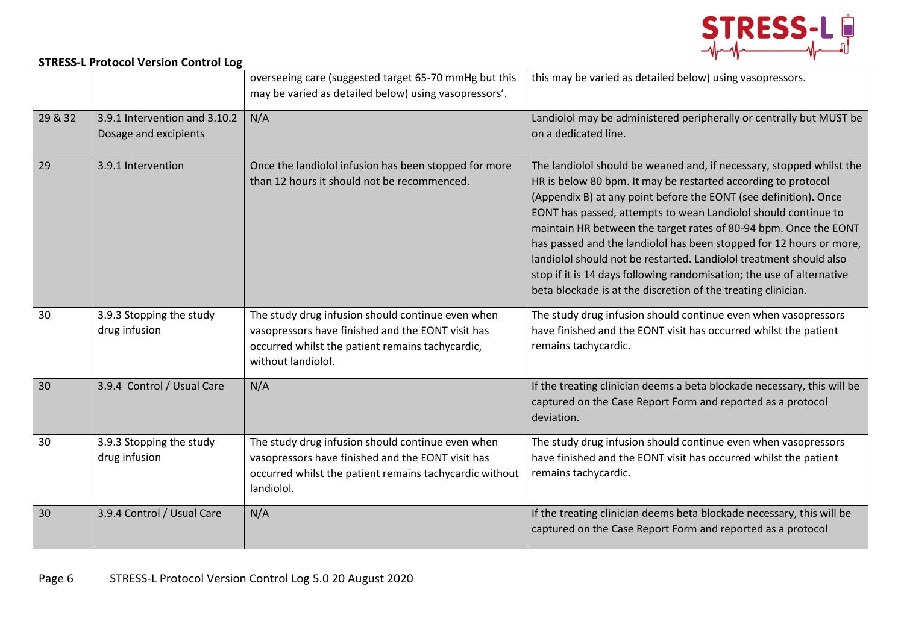

|         |                                                        | overseeing care (suggested target 65-70 mmHg but this                                                                                                                            | this may be varied as detailed below) using vasopressors.                                                                                                                                                                                                                                                                                                                                                                                                                                                                                                                                                                              |
|---------|--------------------------------------------------------|----------------------------------------------------------------------------------------------------------------------------------------------------------------------------------|----------------------------------------------------------------------------------------------------------------------------------------------------------------------------------------------------------------------------------------------------------------------------------------------------------------------------------------------------------------------------------------------------------------------------------------------------------------------------------------------------------------------------------------------------------------------------------------------------------------------------------------|
|         |                                                        | may be varied as detailed below) using vasopressors'.                                                                                                                            |                                                                                                                                                                                                                                                                                                                                                                                                                                                                                                                                                                                                                                        |
| 29 & 32 | 3.9.1 Intervention and 3.10.2<br>Dosage and excipients | N/A                                                                                                                                                                              | Landiolol may be administered peripherally or centrally but MUST be<br>on a dedicated line.                                                                                                                                                                                                                                                                                                                                                                                                                                                                                                                                            |
| 29      | 3.9.1 Intervention                                     | Once the landiolol infusion has been stopped for more<br>than 12 hours it should not be recommenced.                                                                             | The landiolol should be weaned and, if necessary, stopped whilst the<br>HR is below 80 bpm. It may be restarted according to protocol<br>(Appendix B) at any point before the EONT (see definition). Once<br>EONT has passed, attempts to wean Landiolol should continue to<br>maintain HR between the target rates of 80-94 bpm. Once the EONT<br>has passed and the landiolol has been stopped for 12 hours or more,<br>landiolol should not be restarted. Landiolol treatment should also<br>stop if it is 14 days following randomisation; the use of alternative<br>beta blockade is at the discretion of the treating clinician. |
| 30      | 3.9.3 Stopping the study<br>drug infusion              | The study drug infusion should continue even when<br>vasopressors have finished and the EONT visit has<br>occurred whilst the patient remains tachycardic,<br>without landiolol. | The study drug infusion should continue even when vasopressors<br>have finished and the EONT visit has occurred whilst the patient<br>remains tachycardic.                                                                                                                                                                                                                                                                                                                                                                                                                                                                             |
| 30      | 3.9.4 Control / Usual Care                             | N/A                                                                                                                                                                              | If the treating clinician deems a beta blockade necessary, this will be<br>captured on the Case Report Form and reported as a protocol<br>deviation.                                                                                                                                                                                                                                                                                                                                                                                                                                                                                   |
| 30      | 3.9.3 Stopping the study<br>drug infusion              | The study drug infusion should continue even when<br>vasopressors have finished and the EONT visit has<br>occurred whilst the patient remains tachycardic without<br>landiolol.  | The study drug infusion should continue even when vasopressors<br>have finished and the EONT visit has occurred whilst the patient<br>remains tachycardic.                                                                                                                                                                                                                                                                                                                                                                                                                                                                             |
| 30      | 3.9.4 Control / Usual Care                             | N/A                                                                                                                                                                              | If the treating clinician deems beta blockade necessary, this will be<br>captured on the Case Report Form and reported as a protocol                                                                                                                                                                                                                                                                                                                                                                                                                                                                                                   |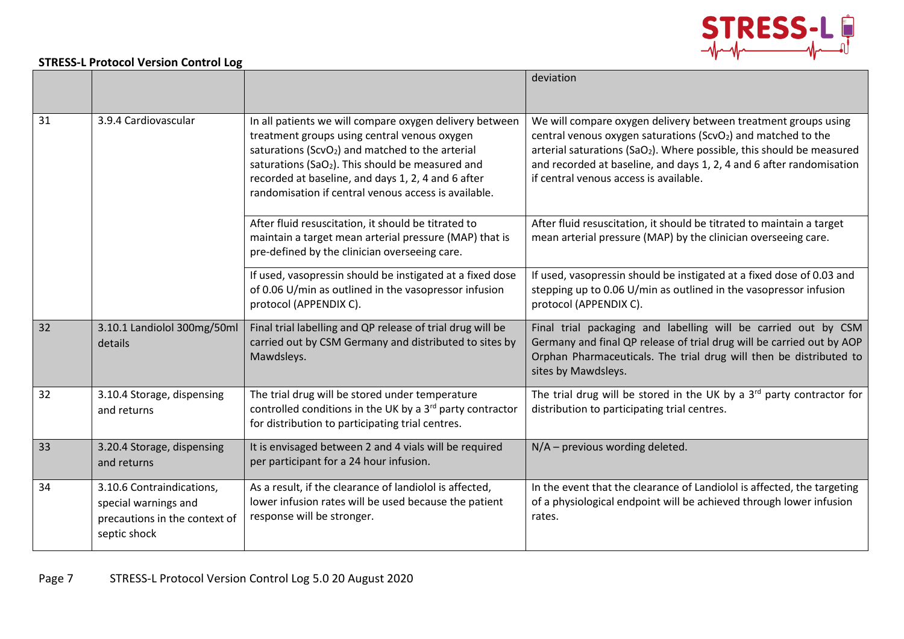

|    |                                                                                                    |                                                                                                                                                                                                                                                                                                                                                       | deviation                                                                                                                                                                                                                                                                                                                                 |
|----|----------------------------------------------------------------------------------------------------|-------------------------------------------------------------------------------------------------------------------------------------------------------------------------------------------------------------------------------------------------------------------------------------------------------------------------------------------------------|-------------------------------------------------------------------------------------------------------------------------------------------------------------------------------------------------------------------------------------------------------------------------------------------------------------------------------------------|
| 31 | 3.9.4 Cardiovascular                                                                               | In all patients we will compare oxygen delivery between<br>treatment groups using central venous oxygen<br>saturations (ScvO <sub>2</sub> ) and matched to the arterial<br>saturations (SaO <sub>2</sub> ). This should be measured and<br>recorded at baseline, and days 1, 2, 4 and 6 after<br>randomisation if central venous access is available. | We will compare oxygen delivery between treatment groups using<br>central venous oxygen saturations ( $ScvO2$ ) and matched to the<br>arterial saturations (SaO <sub>2</sub> ). Where possible, this should be measured<br>and recorded at baseline, and days 1, 2, 4 and 6 after randomisation<br>if central venous access is available. |
|    |                                                                                                    | After fluid resuscitation, it should be titrated to<br>maintain a target mean arterial pressure (MAP) that is<br>pre-defined by the clinician overseeing care.                                                                                                                                                                                        | After fluid resuscitation, it should be titrated to maintain a target<br>mean arterial pressure (MAP) by the clinician overseeing care.                                                                                                                                                                                                   |
|    |                                                                                                    | If used, vasopressin should be instigated at a fixed dose<br>of 0.06 U/min as outlined in the vasopressor infusion<br>protocol (APPENDIX C).                                                                                                                                                                                                          | If used, vasopressin should be instigated at a fixed dose of 0.03 and<br>stepping up to 0.06 U/min as outlined in the vasopressor infusion<br>protocol (APPENDIX C).                                                                                                                                                                      |
| 32 | 3.10.1 Landiolol 300mg/50ml<br>details                                                             | Final trial labelling and QP release of trial drug will be<br>carried out by CSM Germany and distributed to sites by<br>Mawdsleys.                                                                                                                                                                                                                    | Final trial packaging and labelling will be carried out by CSM<br>Germany and final QP release of trial drug will be carried out by AOP<br>Orphan Pharmaceuticals. The trial drug will then be distributed to<br>sites by Mawdsleys.                                                                                                      |
| 32 | 3.10.4 Storage, dispensing<br>and returns                                                          | The trial drug will be stored under temperature<br>controlled conditions in the UK by a 3rd party contractor<br>for distribution to participating trial centres.                                                                                                                                                                                      | The trial drug will be stored in the UK by a $3rd$ party contractor for<br>distribution to participating trial centres.                                                                                                                                                                                                                   |
| 33 | 3.20.4 Storage, dispensing<br>and returns                                                          | It is envisaged between 2 and 4 vials will be required<br>per participant for a 24 hour infusion.                                                                                                                                                                                                                                                     | N/A - previous wording deleted.                                                                                                                                                                                                                                                                                                           |
| 34 | 3.10.6 Contraindications,<br>special warnings and<br>precautions in the context of<br>septic shock | As a result, if the clearance of landiolol is affected,<br>lower infusion rates will be used because the patient<br>response will be stronger.                                                                                                                                                                                                        | In the event that the clearance of Landiolol is affected, the targeting<br>of a physiological endpoint will be achieved through lower infusion<br>rates.                                                                                                                                                                                  |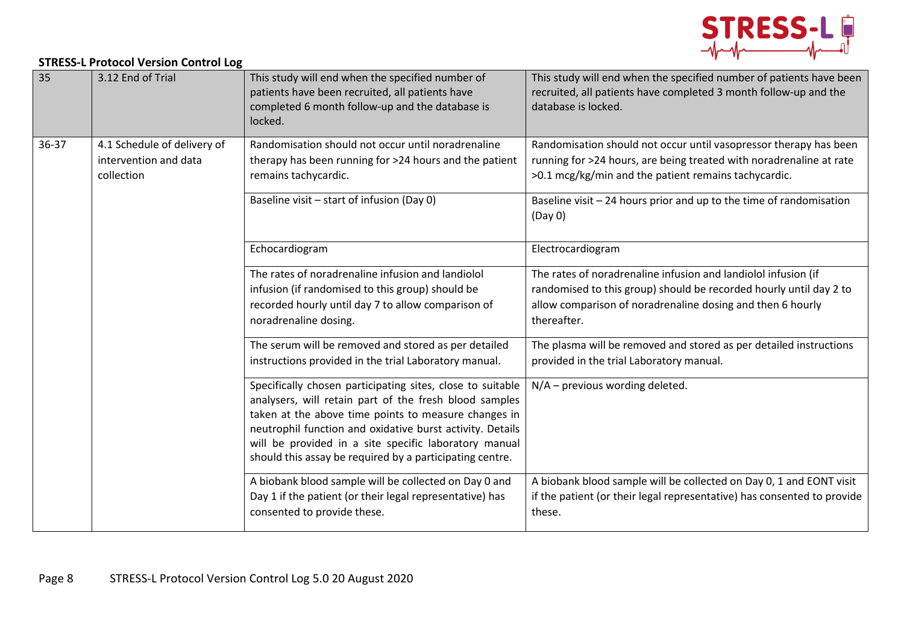

| 35    | 3.12 End of Trial                                                  | This study will end when the specified number of<br>patients have been recruited, all patients have<br>completed 6 month follow-up and the database is<br>locked.                                                                                                                                                                                              | This study will end when the specified number of patients have been<br>recruited, all patients have completed 3 month follow-up and the<br>database is locked.                                                                                                                     |
|-------|--------------------------------------------------------------------|----------------------------------------------------------------------------------------------------------------------------------------------------------------------------------------------------------------------------------------------------------------------------------------------------------------------------------------------------------------|------------------------------------------------------------------------------------------------------------------------------------------------------------------------------------------------------------------------------------------------------------------------------------|
| 36-37 | 4.1 Schedule of delivery of<br>intervention and data<br>collection | Randomisation should not occur until noradrenaline<br>therapy has been running for >24 hours and the patient<br>remains tachycardic.<br>Baseline visit - start of infusion (Day 0)                                                                                                                                                                             | Randomisation should not occur until vasopressor therapy has been<br>running for >24 hours, are being treated with noradrenaline at rate<br>>0.1 mcg/kg/min and the patient remains tachycardic.<br>Baseline visit - 24 hours prior and up to the time of randomisation<br>(Day 0) |
|       |                                                                    | Echocardiogram                                                                                                                                                                                                                                                                                                                                                 | Electrocardiogram                                                                                                                                                                                                                                                                  |
|       |                                                                    | The rates of noradrenaline infusion and landiolol<br>infusion (if randomised to this group) should be<br>recorded hourly until day 7 to allow comparison of<br>noradrenaline dosing.                                                                                                                                                                           | The rates of noradrenaline infusion and landiolol infusion (if<br>randomised to this group) should be recorded hourly until day 2 to<br>allow comparison of noradrenaline dosing and then 6 hourly<br>thereafter.                                                                  |
|       |                                                                    | The serum will be removed and stored as per detailed<br>instructions provided in the trial Laboratory manual.                                                                                                                                                                                                                                                  | The plasma will be removed and stored as per detailed instructions<br>provided in the trial Laboratory manual.                                                                                                                                                                     |
|       |                                                                    | Specifically chosen participating sites, close to suitable<br>analysers, will retain part of the fresh blood samples<br>taken at the above time points to measure changes in<br>neutrophil function and oxidative burst activity. Details<br>will be provided in a site specific laboratory manual<br>should this assay be required by a participating centre. | N/A - previous wording deleted.                                                                                                                                                                                                                                                    |
|       |                                                                    | A biobank blood sample will be collected on Day 0 and<br>Day 1 if the patient (or their legal representative) has<br>consented to provide these.                                                                                                                                                                                                               | A biobank blood sample will be collected on Day 0, 1 and EONT visit<br>if the patient (or their legal representative) has consented to provide<br>these.                                                                                                                           |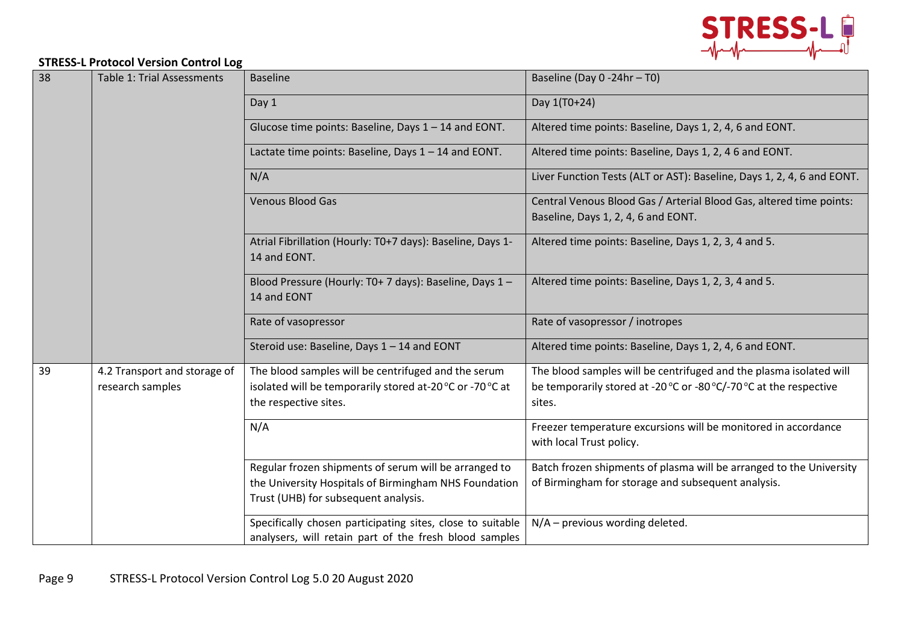

| 38 | Table 1: Trial Assessments                       | <b>Baseline</b>                                                                                                                                        | Baseline (Day 0 -24hr - T0)                                                                                                                        |
|----|--------------------------------------------------|--------------------------------------------------------------------------------------------------------------------------------------------------------|----------------------------------------------------------------------------------------------------------------------------------------------------|
|    |                                                  | Day 1                                                                                                                                                  | Day 1(T0+24)                                                                                                                                       |
|    |                                                  | Glucose time points: Baseline, Days 1 - 14 and EONT.                                                                                                   | Altered time points: Baseline, Days 1, 2, 4, 6 and EONT.                                                                                           |
|    |                                                  | Lactate time points: Baseline, Days 1 - 14 and EONT.                                                                                                   | Altered time points: Baseline, Days 1, 2, 4 6 and EONT.                                                                                            |
|    |                                                  | N/A                                                                                                                                                    | Liver Function Tests (ALT or AST): Baseline, Days 1, 2, 4, 6 and EONT.                                                                             |
|    |                                                  | <b>Venous Blood Gas</b>                                                                                                                                | Central Venous Blood Gas / Arterial Blood Gas, altered time points:<br>Baseline, Days 1, 2, 4, 6 and EONT.                                         |
|    |                                                  | Atrial Fibrillation (Hourly: T0+7 days): Baseline, Days 1-<br>14 and EONT.                                                                             | Altered time points: Baseline, Days 1, 2, 3, 4 and 5.                                                                                              |
|    |                                                  | Blood Pressure (Hourly: T0+ 7 days): Baseline, Days 1-<br>14 and EONT                                                                                  | Altered time points: Baseline, Days 1, 2, 3, 4 and 5.                                                                                              |
|    |                                                  | Rate of vasopressor                                                                                                                                    | Rate of vasopressor / inotropes                                                                                                                    |
|    |                                                  | Steroid use: Baseline, Days 1 - 14 and EONT                                                                                                            | Altered time points: Baseline, Days 1, 2, 4, 6 and EONT.                                                                                           |
| 39 | 4.2 Transport and storage of<br>research samples | The blood samples will be centrifuged and the serum<br>isolated will be temporarily stored at-20 °C or -70 °C at<br>the respective sites.              | The blood samples will be centrifuged and the plasma isolated will<br>be temporarily stored at -20 °C or -80 °C/-70 °C at the respective<br>sites. |
|    |                                                  | N/A                                                                                                                                                    | Freezer temperature excursions will be monitored in accordance<br>with local Trust policy.                                                         |
|    |                                                  | Regular frozen shipments of serum will be arranged to<br>the University Hospitals of Birmingham NHS Foundation<br>Trust (UHB) for subsequent analysis. | Batch frozen shipments of plasma will be arranged to the University<br>of Birmingham for storage and subsequent analysis.                          |
|    |                                                  | Specifically chosen participating sites, close to suitable<br>analysers, will retain part of the fresh blood samples                                   | $N/A$ – previous wording deleted.                                                                                                                  |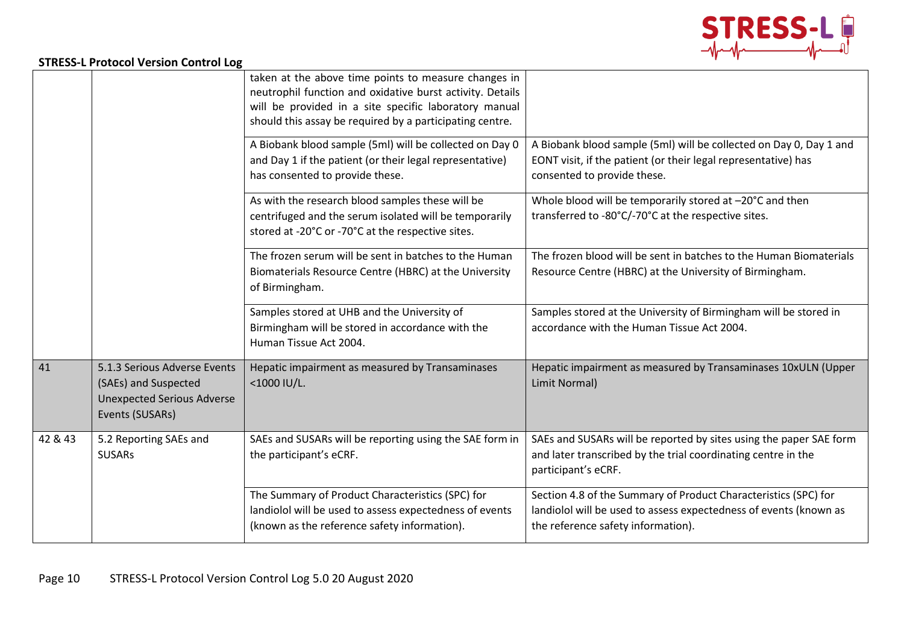

|         |                                                                                                              | taken at the above time points to measure changes in<br>neutrophil function and oxidative burst activity. Details<br>will be provided in a site specific laboratory manual<br>should this assay be required by a participating centre.<br>A Biobank blood sample (5ml) will be collected on Day 0<br>and Day 1 if the patient (or their legal representative) | A Biobank blood sample (5ml) will be collected on Day 0, Day 1 and<br>EONT visit, if the patient (or their legal representative) has                                       |
|---------|--------------------------------------------------------------------------------------------------------------|---------------------------------------------------------------------------------------------------------------------------------------------------------------------------------------------------------------------------------------------------------------------------------------------------------------------------------------------------------------|----------------------------------------------------------------------------------------------------------------------------------------------------------------------------|
|         |                                                                                                              | has consented to provide these.                                                                                                                                                                                                                                                                                                                               | consented to provide these.                                                                                                                                                |
|         |                                                                                                              | As with the research blood samples these will be<br>centrifuged and the serum isolated will be temporarily<br>stored at -20°C or -70°C at the respective sites.                                                                                                                                                                                               | Whole blood will be temporarily stored at -20°C and then<br>transferred to -80°C/-70°C at the respective sites.                                                            |
|         |                                                                                                              | The frozen serum will be sent in batches to the Human<br>Biomaterials Resource Centre (HBRC) at the University<br>of Birmingham.                                                                                                                                                                                                                              | The frozen blood will be sent in batches to the Human Biomaterials<br>Resource Centre (HBRC) at the University of Birmingham.                                              |
|         |                                                                                                              | Samples stored at UHB and the University of<br>Birmingham will be stored in accordance with the<br>Human Tissue Act 2004.                                                                                                                                                                                                                                     | Samples stored at the University of Birmingham will be stored in<br>accordance with the Human Tissue Act 2004.                                                             |
| 41      | 5.1.3 Serious Adverse Events<br>(SAEs) and Suspected<br><b>Unexpected Serious Adverse</b><br>Events (SUSARs) | Hepatic impairment as measured by Transaminases<br>$<$ 1000 IU/L.                                                                                                                                                                                                                                                                                             | Hepatic impairment as measured by Transaminases 10xULN (Upper<br>Limit Normal)                                                                                             |
| 42 & 43 | 5.2 Reporting SAEs and<br><b>SUSARs</b>                                                                      | SAEs and SUSARs will be reporting using the SAE form in<br>the participant's eCRF.                                                                                                                                                                                                                                                                            | SAEs and SUSARs will be reported by sites using the paper SAE form<br>and later transcribed by the trial coordinating centre in the<br>participant's eCRF.                 |
|         |                                                                                                              | The Summary of Product Characteristics (SPC) for<br>landiolol will be used to assess expectedness of events<br>(known as the reference safety information).                                                                                                                                                                                                   | Section 4.8 of the Summary of Product Characteristics (SPC) for<br>landiolol will be used to assess expectedness of events (known as<br>the reference safety information). |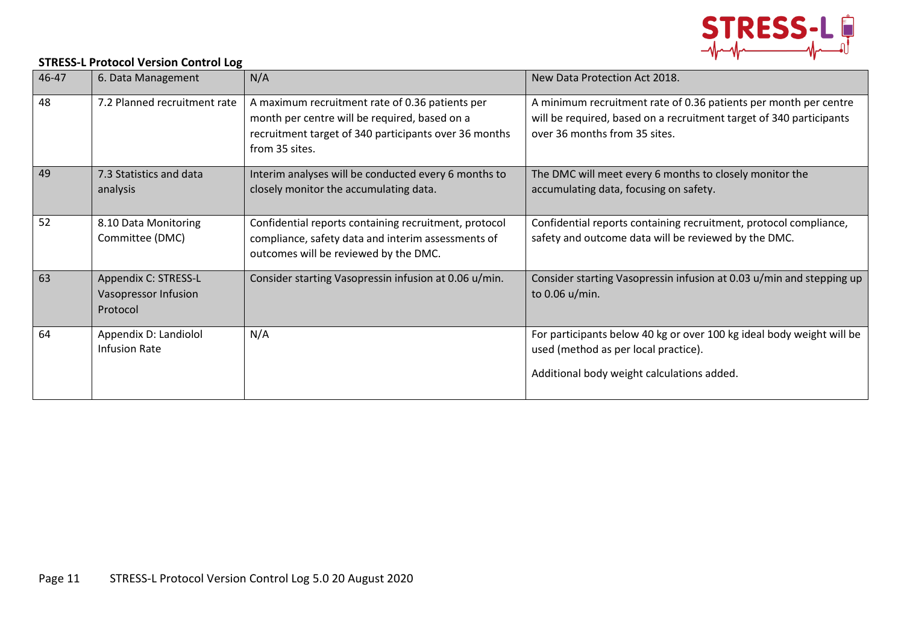

| 46-47 | 6. Data Management                                       | N/A                                                                                                                                                                         | New Data Protection Act 2018.                                                                                                                                            |
|-------|----------------------------------------------------------|-----------------------------------------------------------------------------------------------------------------------------------------------------------------------------|--------------------------------------------------------------------------------------------------------------------------------------------------------------------------|
| 48    | 7.2 Planned recruitment rate                             | A maximum recruitment rate of 0.36 patients per<br>month per centre will be required, based on a<br>recruitment target of 340 participants over 36 months<br>from 35 sites. | A minimum recruitment rate of 0.36 patients per month per centre<br>will be required, based on a recruitment target of 340 participants<br>over 36 months from 35 sites. |
| 49    | 7.3 Statistics and data<br>analysis                      | Interim analyses will be conducted every 6 months to<br>closely monitor the accumulating data.                                                                              | The DMC will meet every 6 months to closely monitor the<br>accumulating data, focusing on safety.                                                                        |
| 52    | 8.10 Data Monitoring<br>Committee (DMC)                  | Confidential reports containing recruitment, protocol<br>compliance, safety data and interim assessments of<br>outcomes will be reviewed by the DMC.                        | Confidential reports containing recruitment, protocol compliance,<br>safety and outcome data will be reviewed by the DMC.                                                |
| 63    | Appendix C: STRESS-L<br>Vasopressor Infusion<br>Protocol | Consider starting Vasopressin infusion at 0.06 u/min.                                                                                                                       | Consider starting Vasopressin infusion at 0.03 u/min and stepping up<br>to 0.06 u/min.                                                                                   |
| 64    | Appendix D: Landiolol<br><b>Infusion Rate</b>            | N/A                                                                                                                                                                         | For participants below 40 kg or over 100 kg ideal body weight will be<br>used (method as per local practice).<br>Additional body weight calculations added.              |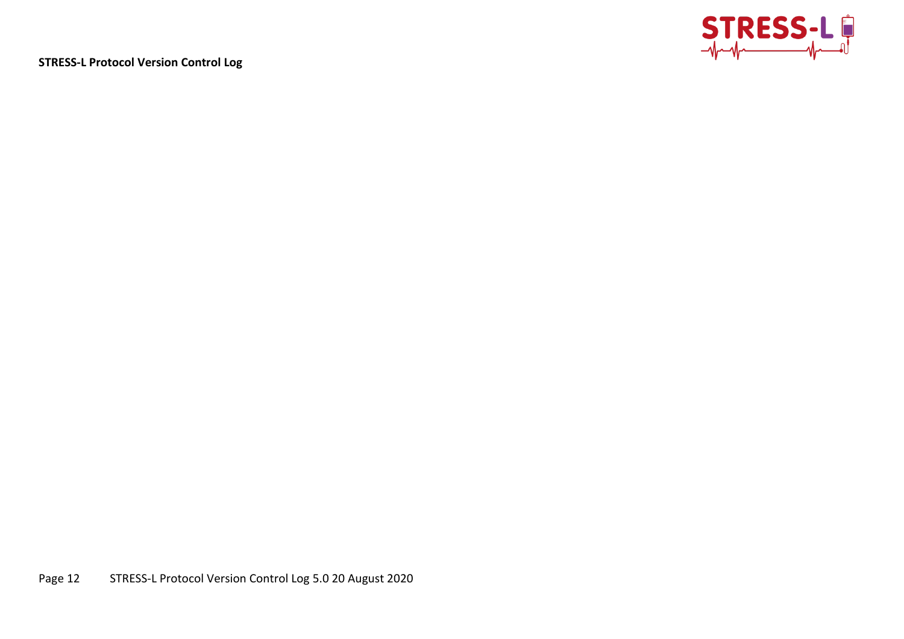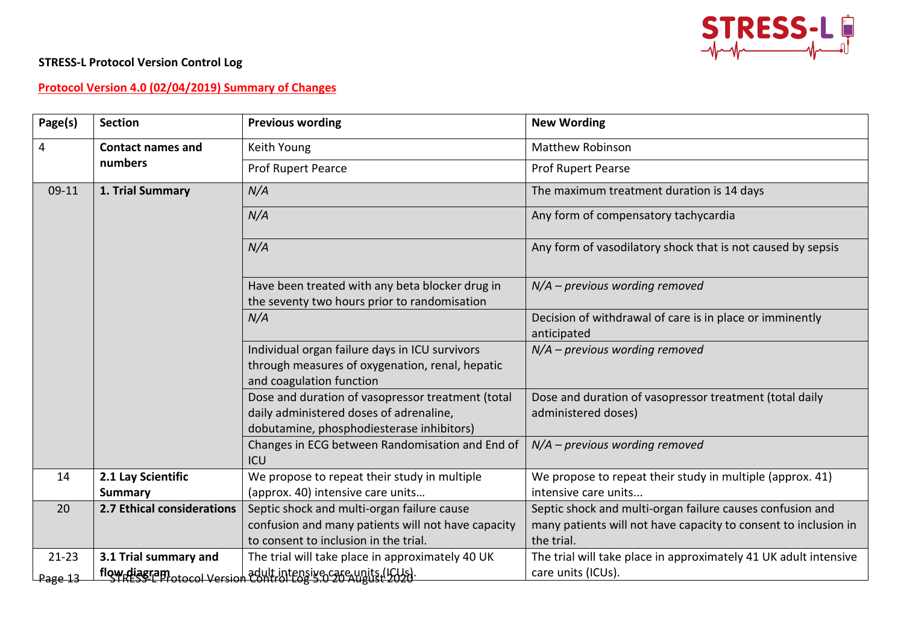

# **Protocol Version 4.0 (02/04/2019) Summary of Changes**

| Page(s)            | <b>Section</b>                       | <b>Previous wording</b>                                                                                                                   | <b>New Wording</b>                                                                                                                         |
|--------------------|--------------------------------------|-------------------------------------------------------------------------------------------------------------------------------------------|--------------------------------------------------------------------------------------------------------------------------------------------|
| 4                  | <b>Contact names and</b>             | Keith Young                                                                                                                               | <b>Matthew Robinson</b>                                                                                                                    |
|                    | numbers                              | Prof Rupert Pearce                                                                                                                        | Prof Rupert Pearse                                                                                                                         |
| 09-11              | 1. Trial Summary                     | N/A                                                                                                                                       | The maximum treatment duration is 14 days                                                                                                  |
|                    |                                      | N/A                                                                                                                                       | Any form of compensatory tachycardia                                                                                                       |
|                    |                                      | N/A                                                                                                                                       | Any form of vasodilatory shock that is not caused by sepsis                                                                                |
|                    |                                      | Have been treated with any beta blocker drug in<br>the seventy two hours prior to randomisation                                           | $N/A$ – previous wording removed                                                                                                           |
|                    |                                      | N/A                                                                                                                                       | Decision of withdrawal of care is in place or imminently<br>anticipated                                                                    |
|                    |                                      | Individual organ failure days in ICU survivors<br>through measures of oxygenation, renal, hepatic<br>and coagulation function             | $N/A$ – previous wording removed                                                                                                           |
|                    |                                      | Dose and duration of vasopressor treatment (total<br>daily administered doses of adrenaline,<br>dobutamine, phosphodiesterase inhibitors) | Dose and duration of vasopressor treatment (total daily<br>administered doses)                                                             |
|                    |                                      | Changes in ECG between Randomisation and End of<br>ICU                                                                                    | $N/A$ – previous wording removed                                                                                                           |
| 14                 | 2.1 Lay Scientific<br><b>Summary</b> | We propose to repeat their study in multiple<br>(approx. 40) intensive care units                                                         | We propose to repeat their study in multiple (approx. 41)<br>intensive care units                                                          |
| 20                 | 2.7 Ethical considerations           | Septic shock and multi-organ failure cause<br>confusion and many patients will not have capacity<br>to consent to inclusion in the trial. | Septic shock and multi-organ failure causes confusion and<br>many patients will not have capacity to consent to inclusion in<br>the trial. |
| $21-23$<br>Page 13 | 3.1 Trial summary and                | The trial will take place in approximately 40 UK<br>flow diagram<br>1994 Research Version Control Log 5.0-20 August 2029.                 | The trial will take place in approximately 41 UK adult intensive<br>care units (ICUs).                                                     |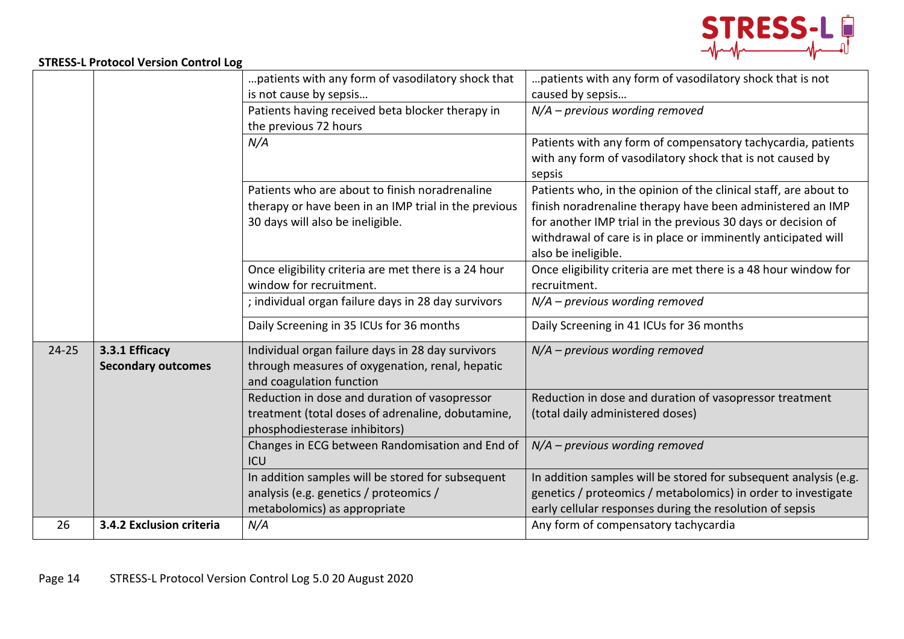

|           |                                             | patients with any form of vasodilatory shock that                                                                                          | patients with any form of vasodilatory shock that is not                                                                                                                                                                                                                               |
|-----------|---------------------------------------------|--------------------------------------------------------------------------------------------------------------------------------------------|----------------------------------------------------------------------------------------------------------------------------------------------------------------------------------------------------------------------------------------------------------------------------------------|
|           |                                             | is not cause by sepsis                                                                                                                     | caused by sepsis                                                                                                                                                                                                                                                                       |
|           |                                             | Patients having received beta blocker therapy in<br>the previous 72 hours                                                                  | $N/A$ – previous wording removed                                                                                                                                                                                                                                                       |
|           |                                             | N/A                                                                                                                                        | Patients with any form of compensatory tachycardia, patients<br>with any form of vasodilatory shock that is not caused by<br>sepsis                                                                                                                                                    |
|           |                                             | Patients who are about to finish noradrenaline<br>therapy or have been in an IMP trial in the previous<br>30 days will also be ineligible. | Patients who, in the opinion of the clinical staff, are about to<br>finish noradrenaline therapy have been administered an IMP<br>for another IMP trial in the previous 30 days or decision of<br>withdrawal of care is in place or imminently anticipated will<br>also be ineligible. |
|           |                                             | Once eligibility criteria are met there is a 24 hour<br>window for recruitment.                                                            | Once eligibility criteria are met there is a 48 hour window for<br>recruitment.                                                                                                                                                                                                        |
|           |                                             | ; individual organ failure days in 28 day survivors                                                                                        | $N/A$ – previous wording removed                                                                                                                                                                                                                                                       |
|           |                                             | Daily Screening in 35 ICUs for 36 months                                                                                                   | Daily Screening in 41 ICUs for 36 months                                                                                                                                                                                                                                               |
| $24 - 25$ | 3.3.1 Efficacy<br><b>Secondary outcomes</b> | Individual organ failure days in 28 day survivors<br>through measures of oxygenation, renal, hepatic<br>and coagulation function           | N/A - previous wording removed                                                                                                                                                                                                                                                         |
|           |                                             | Reduction in dose and duration of vasopressor<br>treatment (total doses of adrenaline, dobutamine,<br>phosphodiesterase inhibitors)        | Reduction in dose and duration of vasopressor treatment<br>(total daily administered doses)                                                                                                                                                                                            |
|           |                                             | Changes in ECG between Randomisation and End of<br>ICU                                                                                     | $N/A$ – previous wording removed                                                                                                                                                                                                                                                       |
|           |                                             | In addition samples will be stored for subsequent<br>analysis (e.g. genetics / proteomics /<br>metabolomics) as appropriate                | In addition samples will be stored for subsequent analysis (e.g.<br>genetics / proteomics / metabolomics) in order to investigate<br>early cellular responses during the resolution of sepsis                                                                                          |
| 26        | 3.4.2 Exclusion criteria                    | N/A                                                                                                                                        | Any form of compensatory tachycardia                                                                                                                                                                                                                                                   |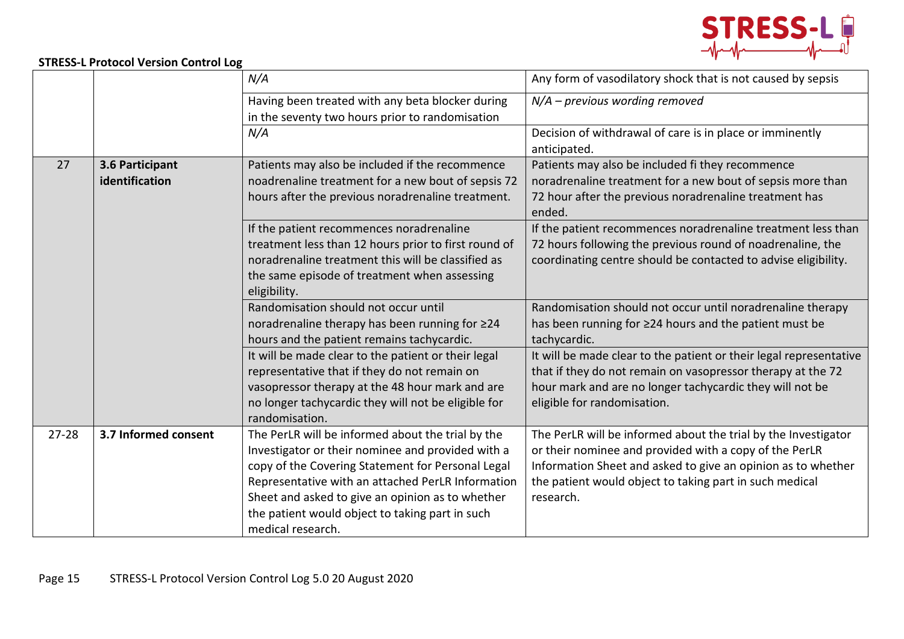

|           |                      | N/A                                                                                                 | Any form of vasodilatory shock that is not caused by sepsis              |
|-----------|----------------------|-----------------------------------------------------------------------------------------------------|--------------------------------------------------------------------------|
|           |                      | Having been treated with any beta blocker during<br>in the seventy two hours prior to randomisation | $N/A$ – previous wording removed                                         |
|           |                      | N/A                                                                                                 | Decision of withdrawal of care is in place or imminently<br>anticipated. |
| 27        | 3.6 Participant      | Patients may also be included if the recommence                                                     | Patients may also be included fi they recommence                         |
|           | identification       | noadrenaline treatment for a new bout of sepsis 72                                                  | noradrenaline treatment for a new bout of sepsis more than               |
|           |                      | hours after the previous noradrenaline treatment.                                                   | 72 hour after the previous noradrenaline treatment has<br>ended.         |
|           |                      | If the patient recommences noradrenaline                                                            | If the patient recommences noradrenaline treatment less than             |
|           |                      | treatment less than 12 hours prior to first round of                                                | 72 hours following the previous round of noadrenaline, the               |
|           |                      | noradrenaline treatment this will be classified as                                                  | coordinating centre should be contacted to advise eligibility.           |
|           |                      | the same episode of treatment when assessing                                                        |                                                                          |
|           |                      | eligibility.                                                                                        |                                                                          |
|           |                      | Randomisation should not occur until                                                                | Randomisation should not occur until noradrenaline therapy               |
|           |                      | noradrenaline therapy has been running for ≥24                                                      | has been running for ≥24 hours and the patient must be                   |
|           |                      | hours and the patient remains tachycardic.                                                          | tachycardic.                                                             |
|           |                      | It will be made clear to the patient or their legal                                                 | It will be made clear to the patient or their legal representative       |
|           |                      | representative that if they do not remain on                                                        | that if they do not remain on vasopressor therapy at the 72              |
|           |                      | vasopressor therapy at the 48 hour mark and are                                                     | hour mark and are no longer tachycardic they will not be                 |
|           |                      | no longer tachycardic they will not be eligible for                                                 | eligible for randomisation.                                              |
|           |                      | randomisation.                                                                                      |                                                                          |
| $27 - 28$ | 3.7 Informed consent | The PerLR will be informed about the trial by the                                                   | The PerLR will be informed about the trial by the Investigator           |
|           |                      | Investigator or their nominee and provided with a                                                   | or their nominee and provided with a copy of the PerLR                   |
|           |                      | copy of the Covering Statement for Personal Legal                                                   | Information Sheet and asked to give an opinion as to whether             |
|           |                      | Representative with an attached PerLR Information                                                   | the patient would object to taking part in such medical                  |
|           |                      | Sheet and asked to give an opinion as to whether                                                    | research.                                                                |
|           |                      | the patient would object to taking part in such                                                     |                                                                          |
|           |                      | medical research.                                                                                   |                                                                          |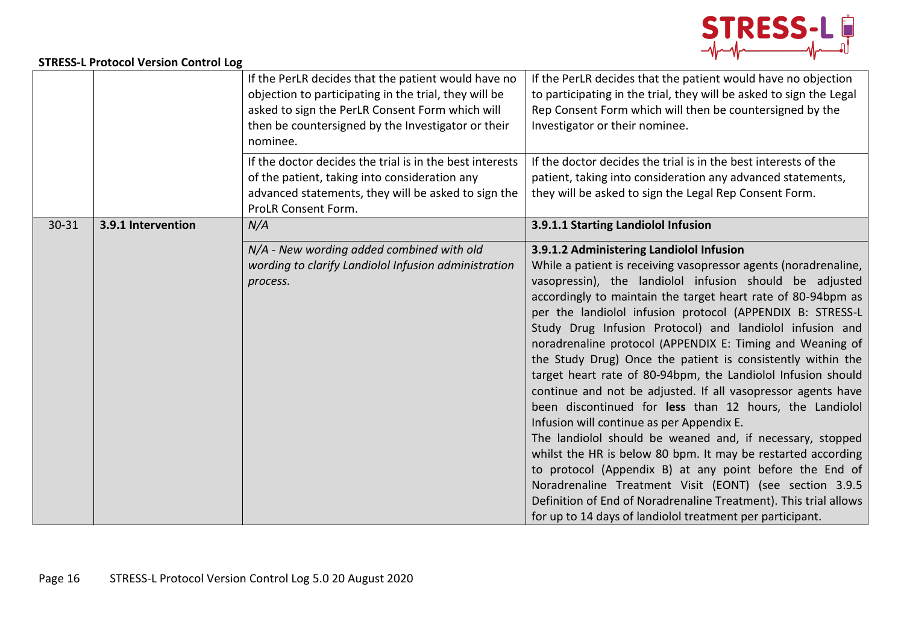

|       |                    | If the PerLR decides that the patient would have no<br>objection to participating in the trial, they will be<br>asked to sign the PerLR Consent Form which will<br>then be countersigned by the Investigator or their<br>nominee. | If the PerLR decides that the patient would have no objection<br>to participating in the trial, they will be asked to sign the Legal<br>Rep Consent Form which will then be countersigned by the<br>Investigator or their nominee.                                                                                                                                                                                                                                                                                                                                                                                                                                                                                                                                                                                                                                                                                                                                                                                                                                                                                      |
|-------|--------------------|-----------------------------------------------------------------------------------------------------------------------------------------------------------------------------------------------------------------------------------|-------------------------------------------------------------------------------------------------------------------------------------------------------------------------------------------------------------------------------------------------------------------------------------------------------------------------------------------------------------------------------------------------------------------------------------------------------------------------------------------------------------------------------------------------------------------------------------------------------------------------------------------------------------------------------------------------------------------------------------------------------------------------------------------------------------------------------------------------------------------------------------------------------------------------------------------------------------------------------------------------------------------------------------------------------------------------------------------------------------------------|
|       |                    | If the doctor decides the trial is in the best interests<br>of the patient, taking into consideration any<br>advanced statements, they will be asked to sign the<br>ProLR Consent Form.                                           | If the doctor decides the trial is in the best interests of the<br>patient, taking into consideration any advanced statements,<br>they will be asked to sign the Legal Rep Consent Form.                                                                                                                                                                                                                                                                                                                                                                                                                                                                                                                                                                                                                                                                                                                                                                                                                                                                                                                                |
| 30-31 | 3.9.1 Intervention | N/A                                                                                                                                                                                                                               | 3.9.1.1 Starting Landiolol Infusion                                                                                                                                                                                                                                                                                                                                                                                                                                                                                                                                                                                                                                                                                                                                                                                                                                                                                                                                                                                                                                                                                     |
|       |                    | N/A - New wording added combined with old<br>wording to clarify Landiolol Infusion administration<br>process.                                                                                                                     | 3.9.1.2 Administering Landiolol Infusion<br>While a patient is receiving vasopressor agents (noradrenaline,<br>vasopressin), the landiolol infusion should be adjusted<br>accordingly to maintain the target heart rate of 80-94bpm as<br>per the landiolol infusion protocol (APPENDIX B: STRESS-L<br>Study Drug Infusion Protocol) and landiolol infusion and<br>noradrenaline protocol (APPENDIX E: Timing and Weaning of<br>the Study Drug) Once the patient is consistently within the<br>target heart rate of 80-94bpm, the Landiolol Infusion should<br>continue and not be adjusted. If all vasopressor agents have<br>been discontinued for less than 12 hours, the Landiolol<br>Infusion will continue as per Appendix E.<br>The landiolol should be weaned and, if necessary, stopped<br>whilst the HR is below 80 bpm. It may be restarted according<br>to protocol (Appendix B) at any point before the End of<br>Noradrenaline Treatment Visit (EONT) (see section 3.9.5<br>Definition of End of Noradrenaline Treatment). This trial allows<br>for up to 14 days of landiolol treatment per participant. |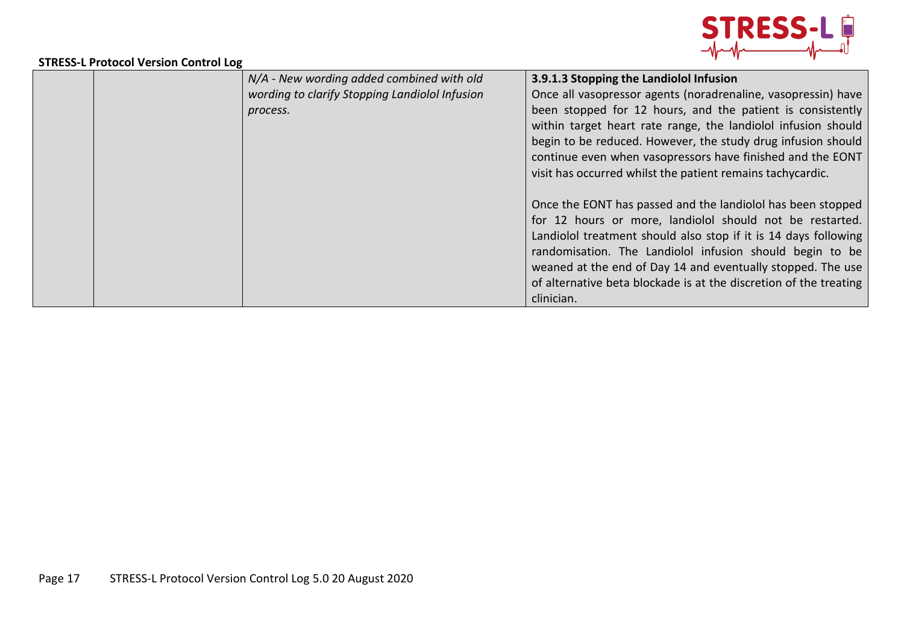

| N/A - New wording added combined with old      | 3.9.1.3 Stopping the Landiolol Infusion                           |
|------------------------------------------------|-------------------------------------------------------------------|
| wording to clarify Stopping Landiolol Infusion | Once all vasopressor agents (noradrenaline, vasopressin) have     |
| process.                                       | been stopped for 12 hours, and the patient is consistently        |
|                                                | within target heart rate range, the landiolol infusion should     |
|                                                | begin to be reduced. However, the study drug infusion should      |
|                                                | continue even when vasopressors have finished and the EONT        |
|                                                | visit has occurred whilst the patient remains tachycardic.        |
|                                                |                                                                   |
|                                                | Once the EONT has passed and the landiolol has been stopped       |
|                                                | for 12 hours or more, landiolol should not be restarted.          |
|                                                | Landiolol treatment should also stop if it is 14 days following   |
|                                                | randomisation. The Landiolol infusion should begin to be          |
|                                                | weaned at the end of Day 14 and eventually stopped. The use       |
|                                                | of alternative beta blockade is at the discretion of the treating |
|                                                | clinician.                                                        |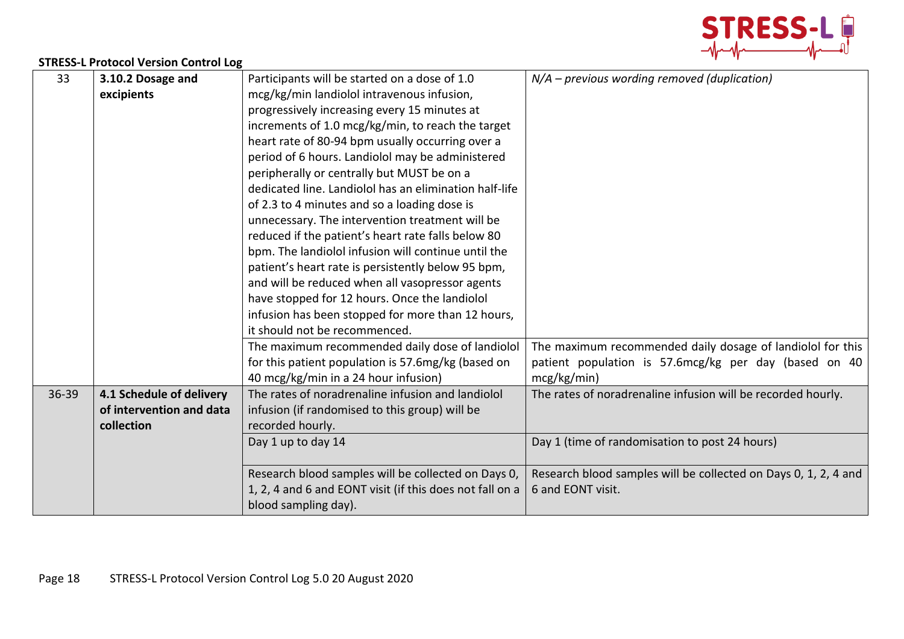

| 33    | 3.10.2 Dosage and        | Participants will be started on a dose of 1.0            | $N/A$ – previous wording removed (duplication)                  |
|-------|--------------------------|----------------------------------------------------------|-----------------------------------------------------------------|
|       | excipients               | mcg/kg/min landiolol intravenous infusion,               |                                                                 |
|       |                          | progressively increasing every 15 minutes at             |                                                                 |
|       |                          | increments of 1.0 mcg/kg/min, to reach the target        |                                                                 |
|       |                          | heart rate of 80-94 bpm usually occurring over a         |                                                                 |
|       |                          | period of 6 hours. Landiolol may be administered         |                                                                 |
|       |                          | peripherally or centrally but MUST be on a               |                                                                 |
|       |                          | dedicated line. Landiolol has an elimination half-life   |                                                                 |
|       |                          | of 2.3 to 4 minutes and so a loading dose is             |                                                                 |
|       |                          | unnecessary. The intervention treatment will be          |                                                                 |
|       |                          | reduced if the patient's heart rate falls below 80       |                                                                 |
|       |                          | bpm. The landiolol infusion will continue until the      |                                                                 |
|       |                          | patient's heart rate is persistently below 95 bpm,       |                                                                 |
|       |                          | and will be reduced when all vasopressor agents          |                                                                 |
|       |                          | have stopped for 12 hours. Once the landiolol            |                                                                 |
|       |                          | infusion has been stopped for more than 12 hours,        |                                                                 |
|       |                          | it should not be recommenced.                            |                                                                 |
|       |                          | The maximum recommended daily dose of landiolol          | The maximum recommended daily dosage of landiolol for this      |
|       |                          | for this patient population is 57.6mg/kg (based on       | patient population is 57.6mcg/kg per day (based on 40           |
|       |                          | 40 mcg/kg/min in a 24 hour infusion)                     | mcg/kg/min)                                                     |
| 36-39 | 4.1 Schedule of delivery | The rates of noradrenaline infusion and landiolol        | The rates of noradrenaline infusion will be recorded hourly.    |
|       | of intervention and data | infusion (if randomised to this group) will be           |                                                                 |
|       | collection               | recorded hourly.                                         |                                                                 |
|       |                          | Day 1 up to day 14                                       | Day 1 (time of randomisation to post 24 hours)                  |
|       |                          |                                                          |                                                                 |
|       |                          | Research blood samples will be collected on Days 0,      | Research blood samples will be collected on Days 0, 1, 2, 4 and |
|       |                          | 1, 2, 4 and 6 and EONT visit (if this does not fall on a | 6 and EONT visit.                                               |
|       |                          | blood sampling day).                                     |                                                                 |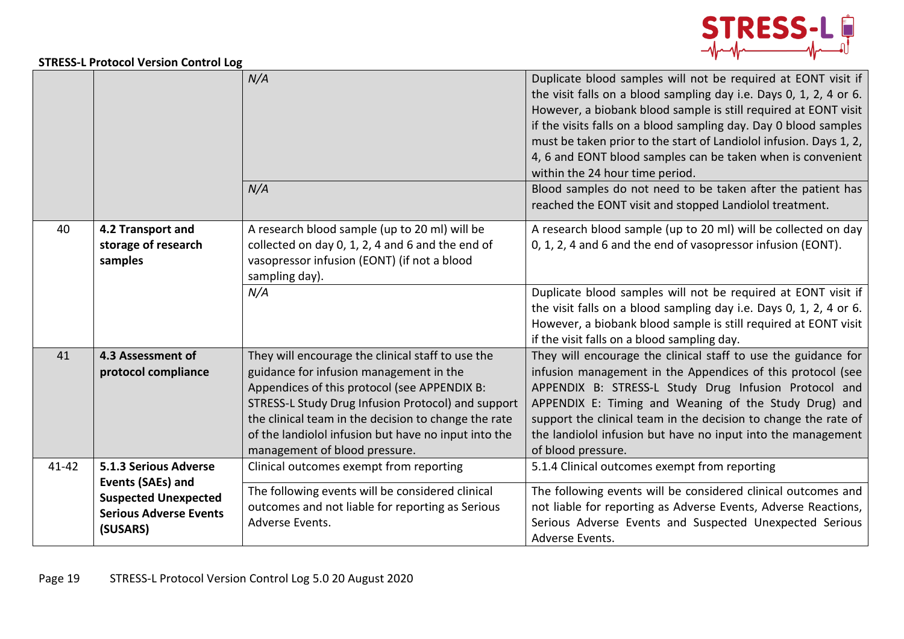

|           |                                                                                                                        | N/A<br>N/A                                                                                                                                                                                                                                                                                                                                          | Duplicate blood samples will not be required at EONT visit if<br>the visit falls on a blood sampling day i.e. Days 0, 1, 2, 4 or 6.<br>However, a biobank blood sample is still required at EONT visit<br>if the visits falls on a blood sampling day. Day 0 blood samples<br>must be taken prior to the start of Landiolol infusion. Days 1, 2,<br>4, 6 and EONT blood samples can be taken when is convenient<br>within the 24 hour time period.<br>Blood samples do not need to be taken after the patient has<br>reached the EONT visit and stopped Landiolol treatment. |
|-----------|------------------------------------------------------------------------------------------------------------------------|-----------------------------------------------------------------------------------------------------------------------------------------------------------------------------------------------------------------------------------------------------------------------------------------------------------------------------------------------------|------------------------------------------------------------------------------------------------------------------------------------------------------------------------------------------------------------------------------------------------------------------------------------------------------------------------------------------------------------------------------------------------------------------------------------------------------------------------------------------------------------------------------------------------------------------------------|
| 40        | 4.2 Transport and<br>storage of research<br>samples                                                                    | A research blood sample (up to 20 ml) will be<br>collected on day 0, 1, 2, 4 and 6 and the end of<br>vasopressor infusion (EONT) (if not a blood<br>sampling day).                                                                                                                                                                                  | A research blood sample (up to 20 ml) will be collected on day<br>0, 1, 2, 4 and 6 and the end of vasopressor infusion (EONT).                                                                                                                                                                                                                                                                                                                                                                                                                                               |
|           |                                                                                                                        | N/A                                                                                                                                                                                                                                                                                                                                                 | Duplicate blood samples will not be required at EONT visit if<br>the visit falls on a blood sampling day i.e. Days 0, 1, 2, 4 or 6.<br>However, a biobank blood sample is still required at EONT visit<br>if the visit falls on a blood sampling day.                                                                                                                                                                                                                                                                                                                        |
| 41        | 4.3 Assessment of<br>protocol compliance                                                                               | They will encourage the clinical staff to use the<br>guidance for infusion management in the<br>Appendices of this protocol (see APPENDIX B:<br>STRESS-L Study Drug Infusion Protocol) and support<br>the clinical team in the decision to change the rate<br>of the landiolol infusion but have no input into the<br>management of blood pressure. | They will encourage the clinical staff to use the guidance for<br>infusion management in the Appendices of this protocol (see<br>APPENDIX B: STRESS-L Study Drug Infusion Protocol and<br>APPENDIX E: Timing and Weaning of the Study Drug) and<br>support the clinical team in the decision to change the rate of<br>the landiolol infusion but have no input into the management<br>of blood pressure.                                                                                                                                                                     |
| $41 - 42$ | 5.1.3 Serious Adverse<br>Events (SAEs) and<br><b>Suspected Unexpected</b><br><b>Serious Adverse Events</b><br>(SUSARS) | Clinical outcomes exempt from reporting<br>The following events will be considered clinical<br>outcomes and not liable for reporting as Serious<br>Adverse Events.                                                                                                                                                                                  | 5.1.4 Clinical outcomes exempt from reporting<br>The following events will be considered clinical outcomes and<br>not liable for reporting as Adverse Events, Adverse Reactions,<br>Serious Adverse Events and Suspected Unexpected Serious<br>Adverse Events.                                                                                                                                                                                                                                                                                                               |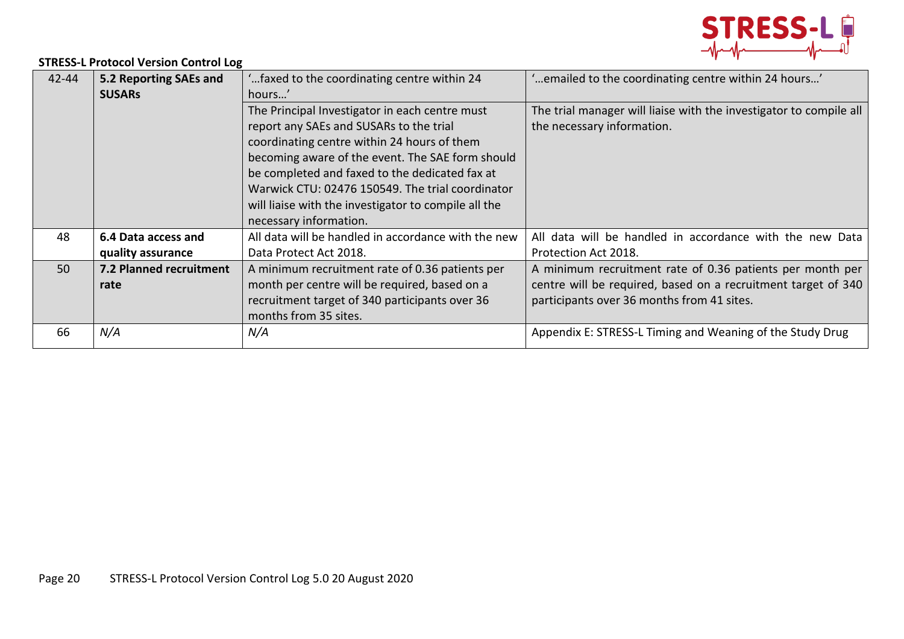

| 42-44 | 5.2 Reporting SAEs and         | 'faxed to the coordinating centre within 24          | 'emailed to the coordinating centre within 24 hours'               |
|-------|--------------------------------|------------------------------------------------------|--------------------------------------------------------------------|
|       | <b>SUSARS</b>                  | hours'                                               |                                                                    |
|       |                                | The Principal Investigator in each centre must       | The trial manager will liaise with the investigator to compile all |
|       |                                | report any SAEs and SUSARs to the trial              | the necessary information.                                         |
|       |                                | coordinating centre within 24 hours of them          |                                                                    |
|       |                                | becoming aware of the event. The SAE form should     |                                                                    |
|       |                                | be completed and faxed to the dedicated fax at       |                                                                    |
|       |                                | Warwick CTU: 02476 150549. The trial coordinator     |                                                                    |
|       |                                | will liaise with the investigator to compile all the |                                                                    |
|       |                                | necessary information.                               |                                                                    |
| 48    | 6.4 Data access and            | All data will be handled in accordance with the new  | All data will be handled in accordance with the new Data           |
|       | quality assurance              | Data Protect Act 2018.                               | Protection Act 2018.                                               |
| 50    | <b>7.2 Planned recruitment</b> | A minimum recruitment rate of 0.36 patients per      | A minimum recruitment rate of 0.36 patients per month per          |
|       | rate                           | month per centre will be required, based on a        | centre will be required, based on a recruitment target of 340      |
|       |                                | recruitment target of 340 participants over 36       | participants over 36 months from 41 sites.                         |
|       |                                | months from 35 sites.                                |                                                                    |
| 66    | N/A                            | N/A                                                  | Appendix E: STRESS-L Timing and Weaning of the Study Drug          |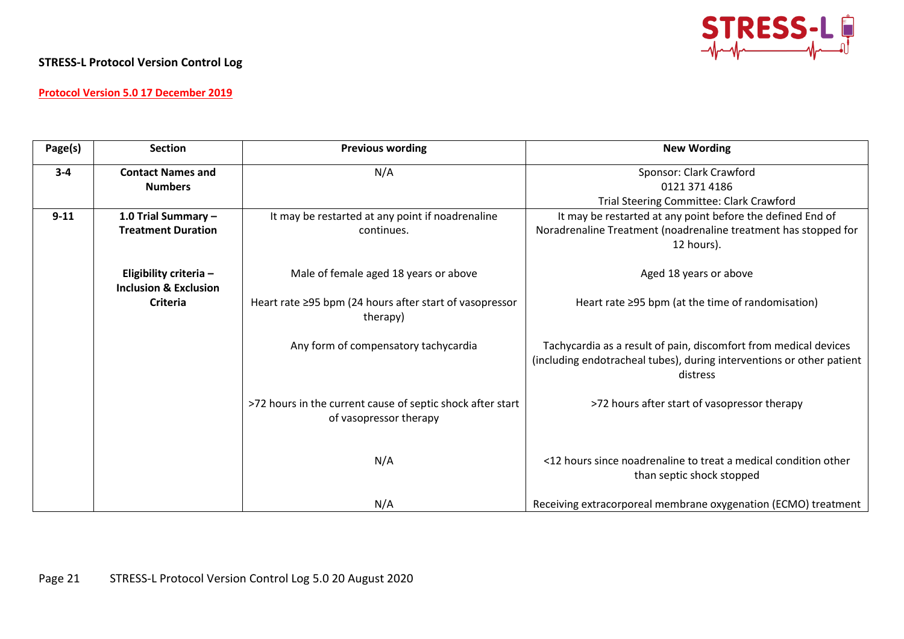

#### **Protocol Version 5.0 17 December 2019**

| Page(s)  | <b>Section</b>                                             | <b>Previous wording</b>                                                              | <b>New Wording</b>                                                                                                                                    |
|----------|------------------------------------------------------------|--------------------------------------------------------------------------------------|-------------------------------------------------------------------------------------------------------------------------------------------------------|
| $3 - 4$  | <b>Contact Names and</b>                                   | N/A                                                                                  | Sponsor: Clark Crawford                                                                                                                               |
|          | <b>Numbers</b>                                             |                                                                                      | 0121 371 4186                                                                                                                                         |
|          |                                                            |                                                                                      | Trial Steering Committee: Clark Crawford                                                                                                              |
| $9 - 11$ | 1.0 Trial Summary -                                        | It may be restarted at any point if noadrenaline                                     | It may be restarted at any point before the defined End of                                                                                            |
|          | <b>Treatment Duration</b>                                  | continues.                                                                           | Noradrenaline Treatment (noadrenaline treatment has stopped for                                                                                       |
|          |                                                            |                                                                                      | 12 hours).                                                                                                                                            |
|          | Eligibility criteria -<br><b>Inclusion &amp; Exclusion</b> | Male of female aged 18 years or above                                                | Aged 18 years or above                                                                                                                                |
|          | <b>Criteria</b>                                            | Heart rate ≥95 bpm (24 hours after start of vasopressor<br>therapy)                  | Heart rate ≥95 bpm (at the time of randomisation)                                                                                                     |
|          |                                                            | Any form of compensatory tachycardia                                                 | Tachycardia as a result of pain, discomfort from medical devices<br>(including endotracheal tubes), during interventions or other patient<br>distress |
|          |                                                            | >72 hours in the current cause of septic shock after start<br>of vasopressor therapy | >72 hours after start of vasopressor therapy                                                                                                          |
|          |                                                            | N/A                                                                                  | <12 hours since noadrenaline to treat a medical condition other<br>than septic shock stopped                                                          |
|          |                                                            | N/A                                                                                  | Receiving extracorporeal membrane oxygenation (ECMO) treatment                                                                                        |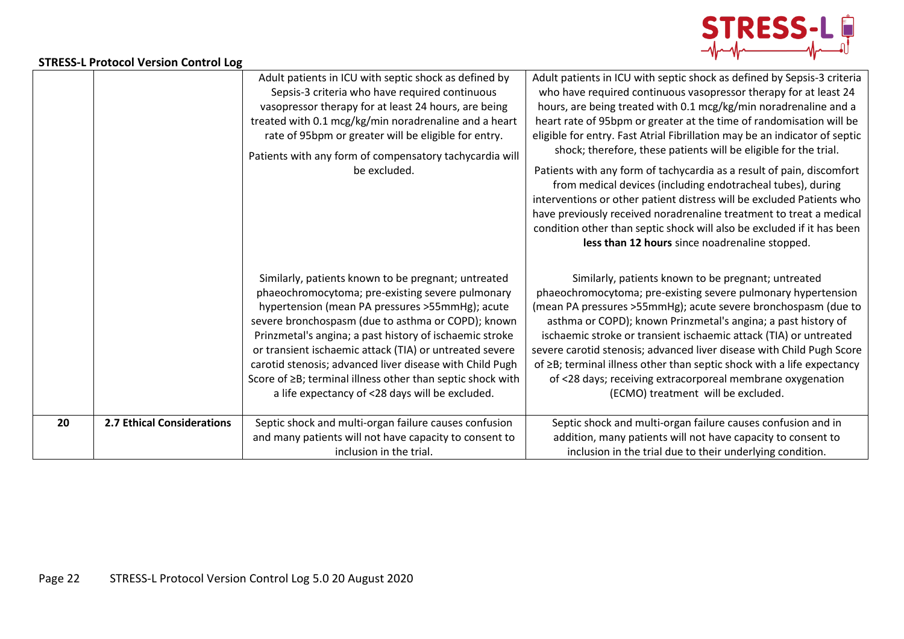

|    |                                   | Adult patients in ICU with septic shock as defined by<br>Sepsis-3 criteria who have required continuous<br>vasopressor therapy for at least 24 hours, are being<br>treated with 0.1 mcg/kg/min noradrenaline and a heart<br>rate of 95bpm or greater will be eligible for entry.<br>Patients with any form of compensatory tachycardia will<br>be excluded.                                                                                                                                                         | Adult patients in ICU with septic shock as defined by Sepsis-3 criteria<br>who have required continuous vasopressor therapy for at least 24<br>hours, are being treated with 0.1 mcg/kg/min noradrenaline and a<br>heart rate of 95bpm or greater at the time of randomisation will be<br>eligible for entry. Fast Atrial Fibrillation may be an indicator of septic<br>shock; therefore, these patients will be eligible for the trial.<br>Patients with any form of tachycardia as a result of pain, discomfort<br>from medical devices (including endotracheal tubes), during<br>interventions or other patient distress will be excluded Patients who<br>have previously received noradrenaline treatment to treat a medical<br>condition other than septic shock will also be excluded if it has been<br>less than 12 hours since noadrenaline stopped. |
|----|-----------------------------------|---------------------------------------------------------------------------------------------------------------------------------------------------------------------------------------------------------------------------------------------------------------------------------------------------------------------------------------------------------------------------------------------------------------------------------------------------------------------------------------------------------------------|--------------------------------------------------------------------------------------------------------------------------------------------------------------------------------------------------------------------------------------------------------------------------------------------------------------------------------------------------------------------------------------------------------------------------------------------------------------------------------------------------------------------------------------------------------------------------------------------------------------------------------------------------------------------------------------------------------------------------------------------------------------------------------------------------------------------------------------------------------------|
|    |                                   | Similarly, patients known to be pregnant; untreated<br>phaeochromocytoma; pre-existing severe pulmonary<br>hypertension (mean PA pressures >55mmHg); acute<br>severe bronchospasm (due to asthma or COPD); known<br>Prinzmetal's angina; a past history of ischaemic stroke<br>or transient ischaemic attack (TIA) or untreated severe<br>carotid stenosis; advanced liver disease with Child Pugh<br>Score of ≥B; terminal illness other than septic shock with<br>a life expectancy of <28 days will be excluded. | Similarly, patients known to be pregnant; untreated<br>phaeochromocytoma; pre-existing severe pulmonary hypertension<br>(mean PA pressures >55mmHg); acute severe bronchospasm (due to<br>asthma or COPD); known Prinzmetal's angina; a past history of<br>ischaemic stroke or transient ischaemic attack (TIA) or untreated<br>severe carotid stenosis; advanced liver disease with Child Pugh Score<br>of ≥B; terminal illness other than septic shock with a life expectancy<br>of <28 days; receiving extracorporeal membrane oxygenation<br>(ECMO) treatment will be excluded.                                                                                                                                                                                                                                                                          |
| 20 | <b>2.7 Ethical Considerations</b> | Septic shock and multi-organ failure causes confusion<br>and many patients will not have capacity to consent to<br>inclusion in the trial.                                                                                                                                                                                                                                                                                                                                                                          | Septic shock and multi-organ failure causes confusion and in<br>addition, many patients will not have capacity to consent to<br>inclusion in the trial due to their underlying condition.                                                                                                                                                                                                                                                                                                                                                                                                                                                                                                                                                                                                                                                                    |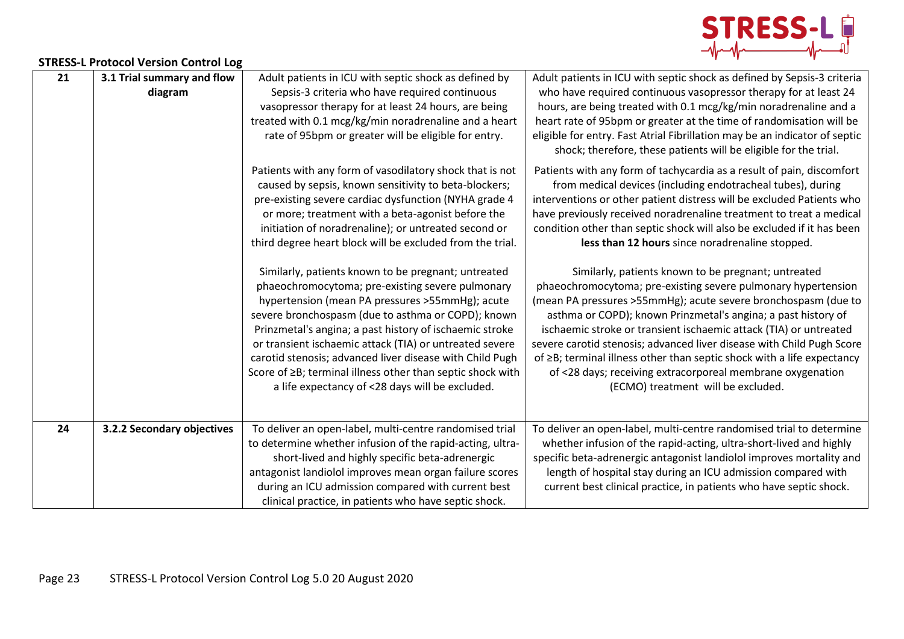# STRESS-L

| 21 | 3.1 Trial summary and flow | Adult patients in ICU with septic shock as defined by                                                                                                                                                                                                                                                                                                                                                                                                                                                               | Adult patients in ICU with septic shock as defined by Sepsis-3 criteria                                                                                                                                                                                                                                                                                                                                                                                                                                                                                                             |
|----|----------------------------|---------------------------------------------------------------------------------------------------------------------------------------------------------------------------------------------------------------------------------------------------------------------------------------------------------------------------------------------------------------------------------------------------------------------------------------------------------------------------------------------------------------------|-------------------------------------------------------------------------------------------------------------------------------------------------------------------------------------------------------------------------------------------------------------------------------------------------------------------------------------------------------------------------------------------------------------------------------------------------------------------------------------------------------------------------------------------------------------------------------------|
|    | diagram                    | Sepsis-3 criteria who have required continuous                                                                                                                                                                                                                                                                                                                                                                                                                                                                      | who have required continuous vasopressor therapy for at least 24                                                                                                                                                                                                                                                                                                                                                                                                                                                                                                                    |
|    |                            | vasopressor therapy for at least 24 hours, are being                                                                                                                                                                                                                                                                                                                                                                                                                                                                | hours, are being treated with 0.1 mcg/kg/min noradrenaline and a                                                                                                                                                                                                                                                                                                                                                                                                                                                                                                                    |
|    |                            | treated with 0.1 mcg/kg/min noradrenaline and a heart                                                                                                                                                                                                                                                                                                                                                                                                                                                               | heart rate of 95bpm or greater at the time of randomisation will be                                                                                                                                                                                                                                                                                                                                                                                                                                                                                                                 |
|    |                            | rate of 95bpm or greater will be eligible for entry.                                                                                                                                                                                                                                                                                                                                                                                                                                                                | eligible for entry. Fast Atrial Fibrillation may be an indicator of septic<br>shock; therefore, these patients will be eligible for the trial.                                                                                                                                                                                                                                                                                                                                                                                                                                      |
|    |                            | Patients with any form of vasodilatory shock that is not<br>caused by sepsis, known sensitivity to beta-blockers;<br>pre-existing severe cardiac dysfunction (NYHA grade 4<br>or more; treatment with a beta-agonist before the<br>initiation of noradrenaline); or untreated second or<br>third degree heart block will be excluded from the trial.                                                                                                                                                                | Patients with any form of tachycardia as a result of pain, discomfort<br>from medical devices (including endotracheal tubes), during<br>interventions or other patient distress will be excluded Patients who<br>have previously received noradrenaline treatment to treat a medical<br>condition other than septic shock will also be excluded if it has been<br>less than 12 hours since noradrenaline stopped.                                                                                                                                                                   |
|    |                            | Similarly, patients known to be pregnant; untreated<br>phaeochromocytoma; pre-existing severe pulmonary<br>hypertension (mean PA pressures >55mmHg); acute<br>severe bronchospasm (due to asthma or COPD); known<br>Prinzmetal's angina; a past history of ischaemic stroke<br>or transient ischaemic attack (TIA) or untreated severe<br>carotid stenosis; advanced liver disease with Child Pugh<br>Score of ≥B; terminal illness other than septic shock with<br>a life expectancy of <28 days will be excluded. | Similarly, patients known to be pregnant; untreated<br>phaeochromocytoma; pre-existing severe pulmonary hypertension<br>(mean PA pressures >55mmHg); acute severe bronchospasm (due to<br>asthma or COPD); known Prinzmetal's angina; a past history of<br>ischaemic stroke or transient ischaemic attack (TIA) or untreated<br>severe carotid stenosis; advanced liver disease with Child Pugh Score<br>of ≥B; terminal illness other than septic shock with a life expectancy<br>of <28 days; receiving extracorporeal membrane oxygenation<br>(ECMO) treatment will be excluded. |
| 24 | 3.2.2 Secondary objectives | To deliver an open-label, multi-centre randomised trial<br>to determine whether infusion of the rapid-acting, ultra-<br>short-lived and highly specific beta-adrenergic<br>antagonist landiolol improves mean organ failure scores<br>during an ICU admission compared with current best<br>clinical practice, in patients who have septic shock.                                                                                                                                                                   | To deliver an open-label, multi-centre randomised trial to determine<br>whether infusion of the rapid-acting, ultra-short-lived and highly<br>specific beta-adrenergic antagonist landiolol improves mortality and<br>length of hospital stay during an ICU admission compared with<br>current best clinical practice, in patients who have septic shock.                                                                                                                                                                                                                           |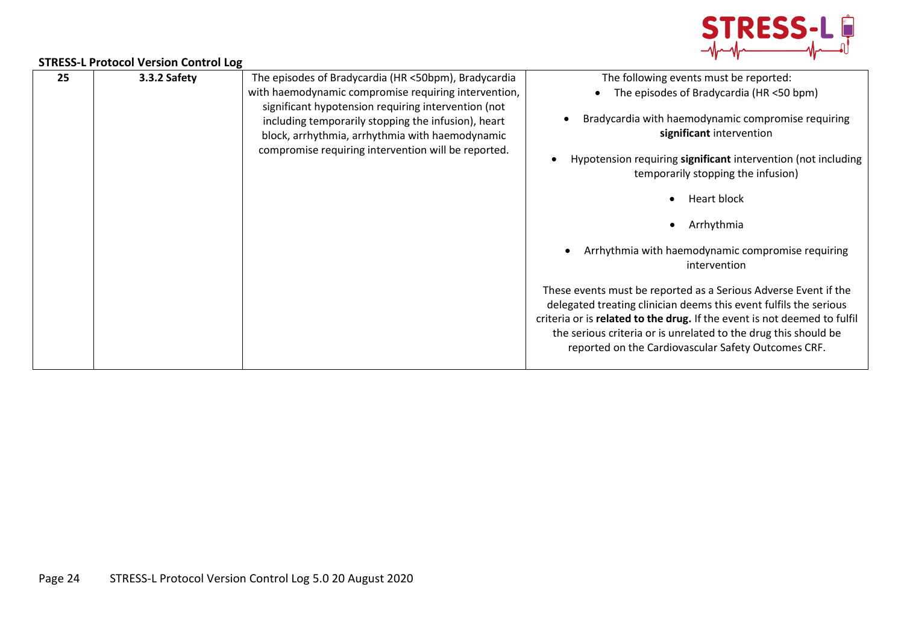

| <b>STRESS-L Protocol Version Control Log</b> |                                                                                                                                                                                                                                                                                                                                      |                                                                                                                                                                                                                                                                                                                                                                                                                                                                                                                                                                                                                                                                                                                             |
|----------------------------------------------|--------------------------------------------------------------------------------------------------------------------------------------------------------------------------------------------------------------------------------------------------------------------------------------------------------------------------------------|-----------------------------------------------------------------------------------------------------------------------------------------------------------------------------------------------------------------------------------------------------------------------------------------------------------------------------------------------------------------------------------------------------------------------------------------------------------------------------------------------------------------------------------------------------------------------------------------------------------------------------------------------------------------------------------------------------------------------------|
| 25<br>3.3.2 Safety                           | The episodes of Bradycardia (HR <50bpm), Bradycardia<br>with haemodynamic compromise requiring intervention,<br>significant hypotension requiring intervention (not<br>including temporarily stopping the infusion), heart<br>block, arrhythmia, arrhythmia with haemodynamic<br>compromise requiring intervention will be reported. | The following events must be reported:<br>The episodes of Bradycardia (HR <50 bpm)<br>Bradycardia with haemodynamic compromise requiring<br>significant intervention<br>Hypotension requiring significant intervention (not including<br>temporarily stopping the infusion)<br>Heart block<br>Arrhythmia<br>Arrhythmia with haemodynamic compromise requiring<br>intervention<br>These events must be reported as a Serious Adverse Event if the<br>delegated treating clinician deems this event fulfils the serious<br>criteria or is related to the drug. If the event is not deemed to fulfil<br>the serious criteria or is unrelated to the drug this should be<br>reported on the Cardiovascular Safety Outcomes CRF. |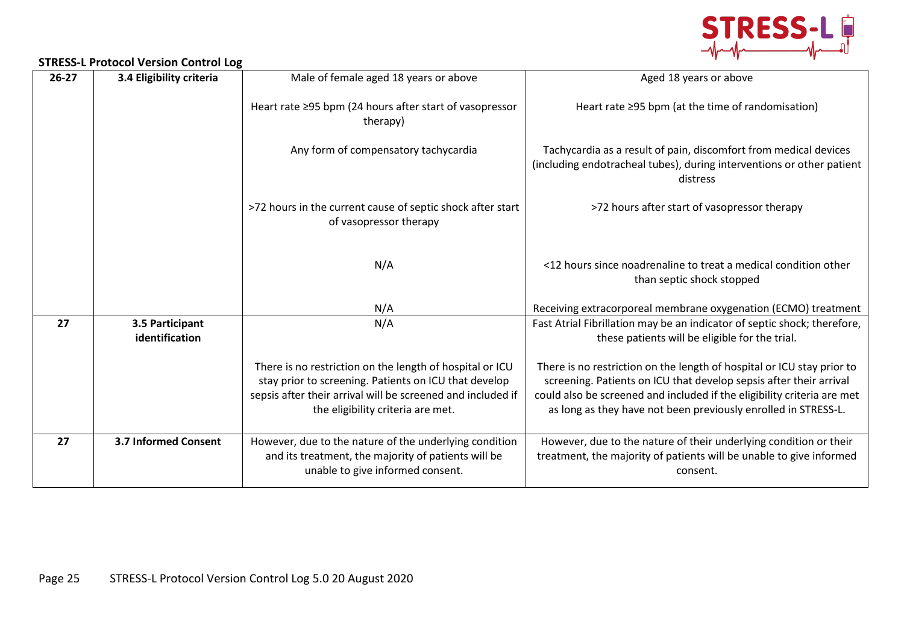

| $26 - 27$ | 3.4 Eligibility criteria          | Male of female aged 18 years or above                                                                                                                                                                                 | Aged 18 years or above                                                                                                                                                                                                                                                                    |
|-----------|-----------------------------------|-----------------------------------------------------------------------------------------------------------------------------------------------------------------------------------------------------------------------|-------------------------------------------------------------------------------------------------------------------------------------------------------------------------------------------------------------------------------------------------------------------------------------------|
|           |                                   | Heart rate ≥95 bpm (24 hours after start of vasopressor<br>therapy)                                                                                                                                                   | Heart rate ≥95 bpm (at the time of randomisation)                                                                                                                                                                                                                                         |
|           |                                   | Any form of compensatory tachycardia                                                                                                                                                                                  | Tachycardia as a result of pain, discomfort from medical devices<br>(including endotracheal tubes), during interventions or other patient<br>distress                                                                                                                                     |
|           |                                   | >72 hours in the current cause of septic shock after start<br>of vasopressor therapy                                                                                                                                  | >72 hours after start of vasopressor therapy                                                                                                                                                                                                                                              |
|           |                                   | N/A                                                                                                                                                                                                                   | <12 hours since noadrenaline to treat a medical condition other<br>than septic shock stopped                                                                                                                                                                                              |
|           |                                   | N/A                                                                                                                                                                                                                   | Receiving extracorporeal membrane oxygenation (ECMO) treatment                                                                                                                                                                                                                            |
| 27        | 3.5 Participant<br>identification | N/A                                                                                                                                                                                                                   | Fast Atrial Fibrillation may be an indicator of septic shock; therefore,<br>these patients will be eligible for the trial.                                                                                                                                                                |
|           |                                   | There is no restriction on the length of hospital or ICU<br>stay prior to screening. Patients on ICU that develop<br>sepsis after their arrival will be screened and included if<br>the eligibility criteria are met. | There is no restriction on the length of hospital or ICU stay prior to<br>screening. Patients on ICU that develop sepsis after their arrival<br>could also be screened and included if the eligibility criteria are met<br>as long as they have not been previously enrolled in STRESS-L. |
| 27        | 3.7 Informed Consent              | However, due to the nature of the underlying condition<br>and its treatment, the majority of patients will be<br>unable to give informed consent.                                                                     | However, due to the nature of their underlying condition or their<br>treatment, the majority of patients will be unable to give informed<br>consent.                                                                                                                                      |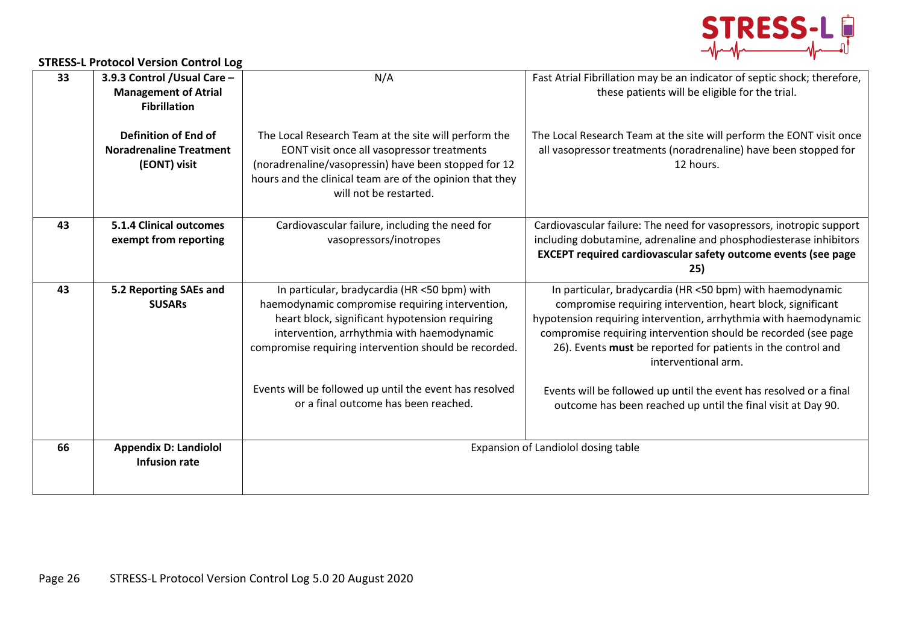

| 33 | 3.9.3 Control / Usual Care -<br><b>Management of Atrial</b><br><b>Fibrillation</b> | N/A                                                                                                                                                                                                                                                                                                                                                         | Fast Atrial Fibrillation may be an indicator of septic shock; therefore,<br>these patients will be eligible for the trial.                                                                                                                                                                                                                                                                                                                                                                  |
|----|------------------------------------------------------------------------------------|-------------------------------------------------------------------------------------------------------------------------------------------------------------------------------------------------------------------------------------------------------------------------------------------------------------------------------------------------------------|---------------------------------------------------------------------------------------------------------------------------------------------------------------------------------------------------------------------------------------------------------------------------------------------------------------------------------------------------------------------------------------------------------------------------------------------------------------------------------------------|
|    | <b>Definition of End of</b><br><b>Noradrenaline Treatment</b><br>(EONT) visit      | The Local Research Team at the site will perform the<br>EONT visit once all vasopressor treatments<br>(noradrenaline/vasopressin) have been stopped for 12<br>hours and the clinical team are of the opinion that they<br>will not be restarted.                                                                                                            | The Local Research Team at the site will perform the EONT visit once<br>all vasopressor treatments (noradrenaline) have been stopped for<br>12 hours.                                                                                                                                                                                                                                                                                                                                       |
| 43 | <b>5.1.4 Clinical outcomes</b><br>exempt from reporting                            | Cardiovascular failure, including the need for<br>vasopressors/inotropes                                                                                                                                                                                                                                                                                    | Cardiovascular failure: The need for vasopressors, inotropic support<br>including dobutamine, adrenaline and phosphodiesterase inhibitors<br>EXCEPT required cardiovascular safety outcome events (see page<br>25)                                                                                                                                                                                                                                                                          |
| 43 | 5.2 Reporting SAEs and<br><b>SUSARs</b>                                            | In particular, bradycardia (HR <50 bpm) with<br>haemodynamic compromise requiring intervention,<br>heart block, significant hypotension requiring<br>intervention, arrhythmia with haemodynamic<br>compromise requiring intervention should be recorded.<br>Events will be followed up until the event has resolved<br>or a final outcome has been reached. | In particular, bradycardia (HR <50 bpm) with haemodynamic<br>compromise requiring intervention, heart block, significant<br>hypotension requiring intervention, arrhythmia with haemodynamic<br>compromise requiring intervention should be recorded (see page<br>26). Events must be reported for patients in the control and<br>interventional arm.<br>Events will be followed up until the event has resolved or a final<br>outcome has been reached up until the final visit at Day 90. |
|    |                                                                                    |                                                                                                                                                                                                                                                                                                                                                             |                                                                                                                                                                                                                                                                                                                                                                                                                                                                                             |
| 66 | <b>Appendix D: Landiolol</b><br>Infusion rate                                      |                                                                                                                                                                                                                                                                                                                                                             | Expansion of Landiolol dosing table                                                                                                                                                                                                                                                                                                                                                                                                                                                         |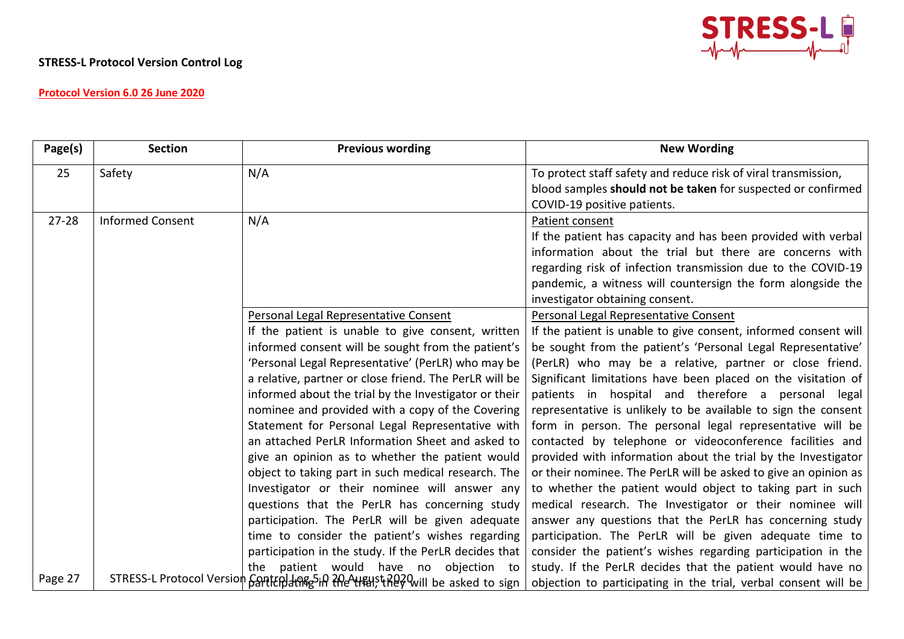

#### **Protocol Version 6.0 26 June 2020**

| Page(s)   | <b>Section</b>          | <b>Previous wording</b>                                                                                                                | <b>New Wording</b>                                                                                                            |
|-----------|-------------------------|----------------------------------------------------------------------------------------------------------------------------------------|-------------------------------------------------------------------------------------------------------------------------------|
| 25        | Safety                  | N/A                                                                                                                                    | To protect staff safety and reduce risk of viral transmission,                                                                |
|           |                         |                                                                                                                                        | blood samples should not be taken for suspected or confirmed                                                                  |
|           |                         |                                                                                                                                        | COVID-19 positive patients.                                                                                                   |
| $27 - 28$ | <b>Informed Consent</b> | N/A                                                                                                                                    | Patient consent                                                                                                               |
|           |                         |                                                                                                                                        | If the patient has capacity and has been provided with verbal                                                                 |
|           |                         |                                                                                                                                        | information about the trial but there are concerns with                                                                       |
|           |                         |                                                                                                                                        | regarding risk of infection transmission due to the COVID-19                                                                  |
|           |                         |                                                                                                                                        | pandemic, a witness will countersign the form alongside the                                                                   |
|           |                         |                                                                                                                                        | investigator obtaining consent.                                                                                               |
|           |                         | Personal Legal Representative Consent                                                                                                  | Personal Legal Representative Consent                                                                                         |
|           |                         | If the patient is unable to give consent, written                                                                                      | If the patient is unable to give consent, informed consent will                                                               |
|           |                         | informed consent will be sought from the patient's                                                                                     | be sought from the patient's 'Personal Legal Representative'                                                                  |
|           |                         | 'Personal Legal Representative' (PerLR) who may be                                                                                     | (PerLR) who may be a relative, partner or close friend.                                                                       |
|           |                         | a relative, partner or close friend. The PerLR will be                                                                                 | Significant limitations have been placed on the visitation of                                                                 |
|           |                         | informed about the trial by the Investigator or their                                                                                  | patients in hospital and therefore a personal legal                                                                           |
|           |                         | nominee and provided with a copy of the Covering                                                                                       | representative is unlikely to be available to sign the consent                                                                |
|           |                         | Statement for Personal Legal Representative with                                                                                       | form in person. The personal legal representative will be                                                                     |
|           |                         | an attached PerLR Information Sheet and asked to                                                                                       | contacted by telephone or videoconference facilities and                                                                      |
|           |                         | give an opinion as to whether the patient would                                                                                        | provided with information about the trial by the Investigator                                                                 |
|           |                         | object to taking part in such medical research. The                                                                                    | or their nominee. The PerLR will be asked to give an opinion as                                                               |
|           |                         | Investigator or their nominee will answer any                                                                                          | to whether the patient would object to taking part in such                                                                    |
|           |                         | questions that the PerLR has concerning study                                                                                          | medical research. The Investigator or their nominee will                                                                      |
|           |                         | participation. The PerLR will be given adequate                                                                                        | answer any questions that the PerLR has concerning study                                                                      |
|           |                         | time to consider the patient's wishes regarding                                                                                        | participation. The PerLR will be given adequate time to                                                                       |
|           |                         | participation in the study. If the PerLR decides that                                                                                  | consider the patient's wishes regarding participation in the                                                                  |
| Page 27   |                         | patient would have no objection to<br>the<br>STRESS-L Protocol Version <del>Santcel Anges in 20e UT US 20</del> Pwill be asked to sign | study. If the PerLR decides that the patient would have no<br>objection to participating in the trial, verbal consent will be |